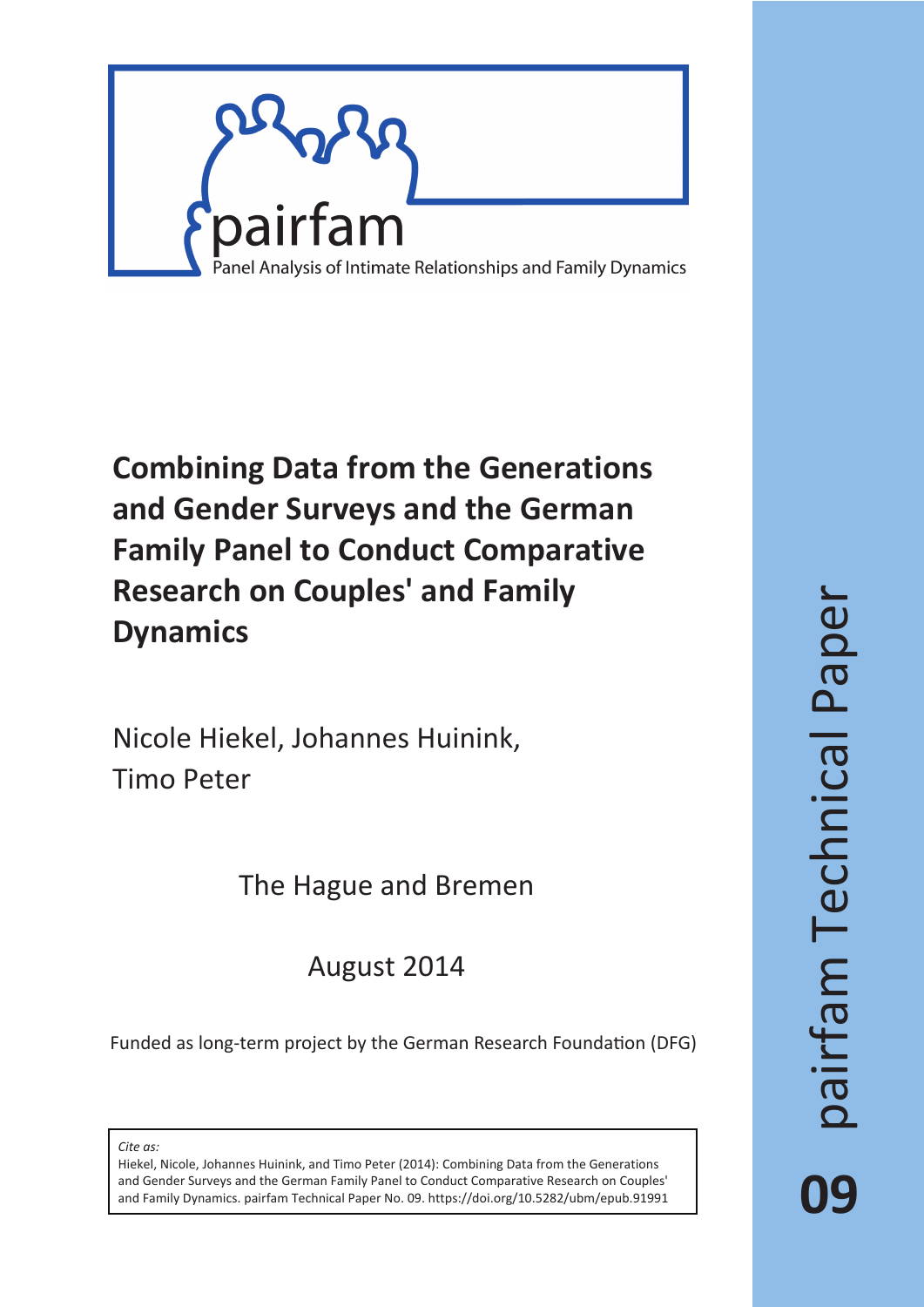

# **Combining Data from the Generations and Gender Surveys and the German Family Panel to Conduct Comparative Research on Couples' and Family Dynamics**

Nicole Hiekel, Johannes Huinink, Timo Peter

The Hague and Bremen

August 2014

Funded as long-term project by the German Research Foundation (DFG)

*Cite as:*

Hiekel, Nicole, Johannes Huinink, and Timo Peter (2014): Combining Data from the Generations and Gender Surveys and the German Family Panel to Conduct Comparative Research on Couples' and Family Dynamics. pairfam Technical Paper No. 09. https://doi.org/10.5282/ubm/epub.91991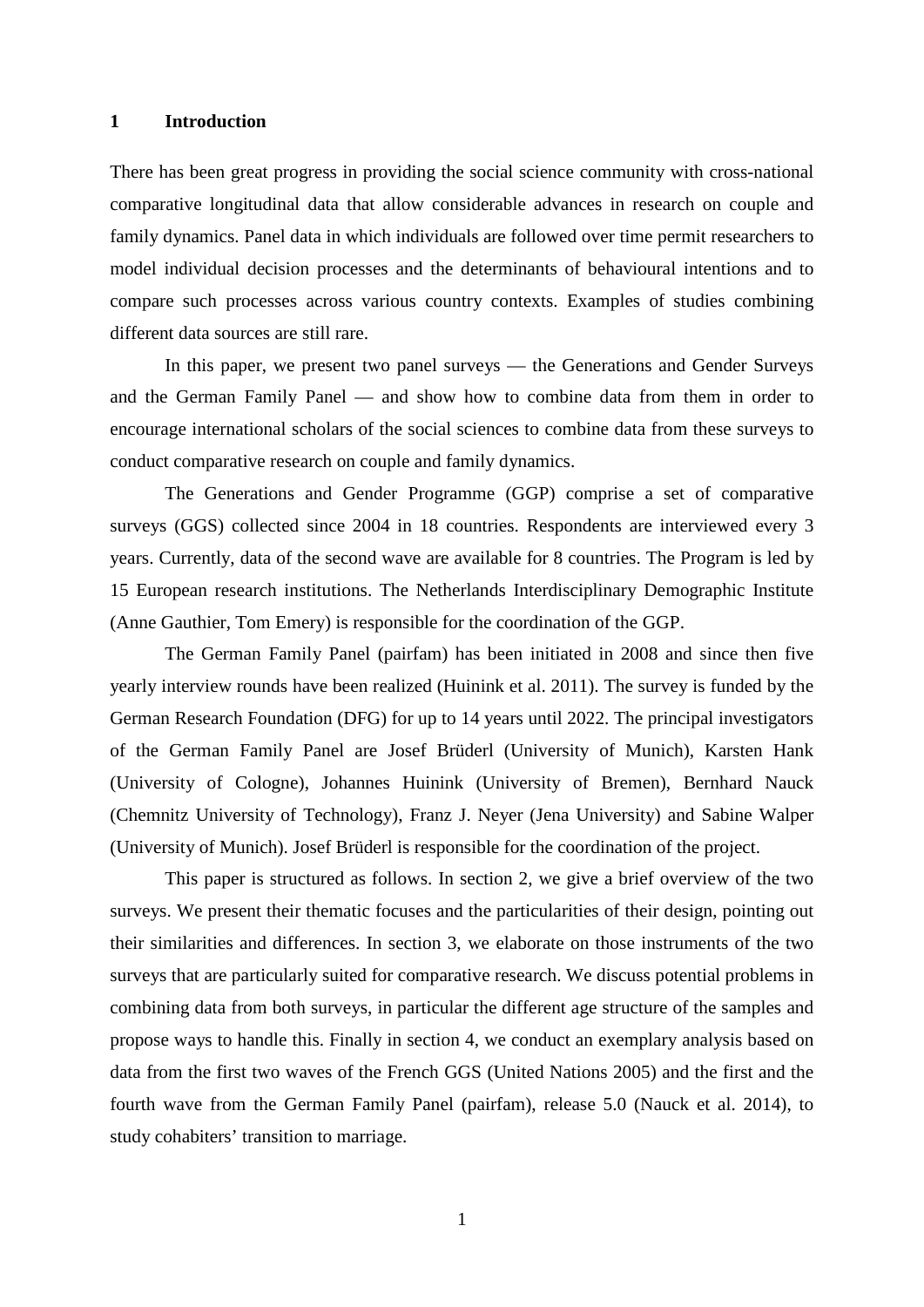#### **1 Introduction**

There has been great progress in providing the social science community with cross-national comparative longitudinal data that allow considerable advances in research on couple and family dynamics. Panel data in which individuals are followed over time permit researchers to model individual decision processes and the determinants of behavioural intentions and to compare such processes across various country contexts. Examples of studies combining different data sources are still rare.

In this paper, we present two panel surveys — the Generations and Gender Surveys and the German Family Panel — and show how to combine data from them in order to encourage international scholars of the social sciences to combine data from these surveys to conduct comparative research on couple and family dynamics.

The Generations and Gender Programme (GGP) comprise a set of comparative surveys (GGS) collected since 2004 in 18 countries. Respondents are interviewed every 3 years. Currently, data of the second wave are available for 8 countries. The Program is led by 15 European research institutions. The Netherlands Interdisciplinary Demographic Institute (Anne Gauthier, Tom Emery) is responsible for the coordination of the GGP.

The German Family Panel (pairfam) has been initiated in 2008 and since then five yearly interview rounds have been realized (Huinink et al. 2011). The survey is funded by the German Research Foundation (DFG) for up to 14 years until 2022. The principal investigators of the German Family Panel are Josef Brüderl (University of Munich), Karsten Hank (University of Cologne), Johannes Huinink (University of Bremen), Bernhard Nauck (Chemnitz University of Technology), Franz J. Neyer (Jena University) and Sabine Walper (University of Munich). Josef Brüderl is responsible for the coordination of the project.

This paper is structured as follows. In section 2, we give a brief overview of the two surveys. We present their thematic focuses and the particularities of their design, pointing out their similarities and differences. In section 3, we elaborate on those instruments of the two surveys that are particularly suited for comparative research. We discuss potential problems in combining data from both surveys, in particular the different age structure of the samples and propose ways to handle this. Finally in section 4, we conduct an exemplary analysis based on data from the first two waves of the French GGS (United Nations 2005) and the first and the fourth wave from the German Family Panel (pairfam), release 5.0 (Nauck et al. 2014), to study cohabiters' transition to marriage.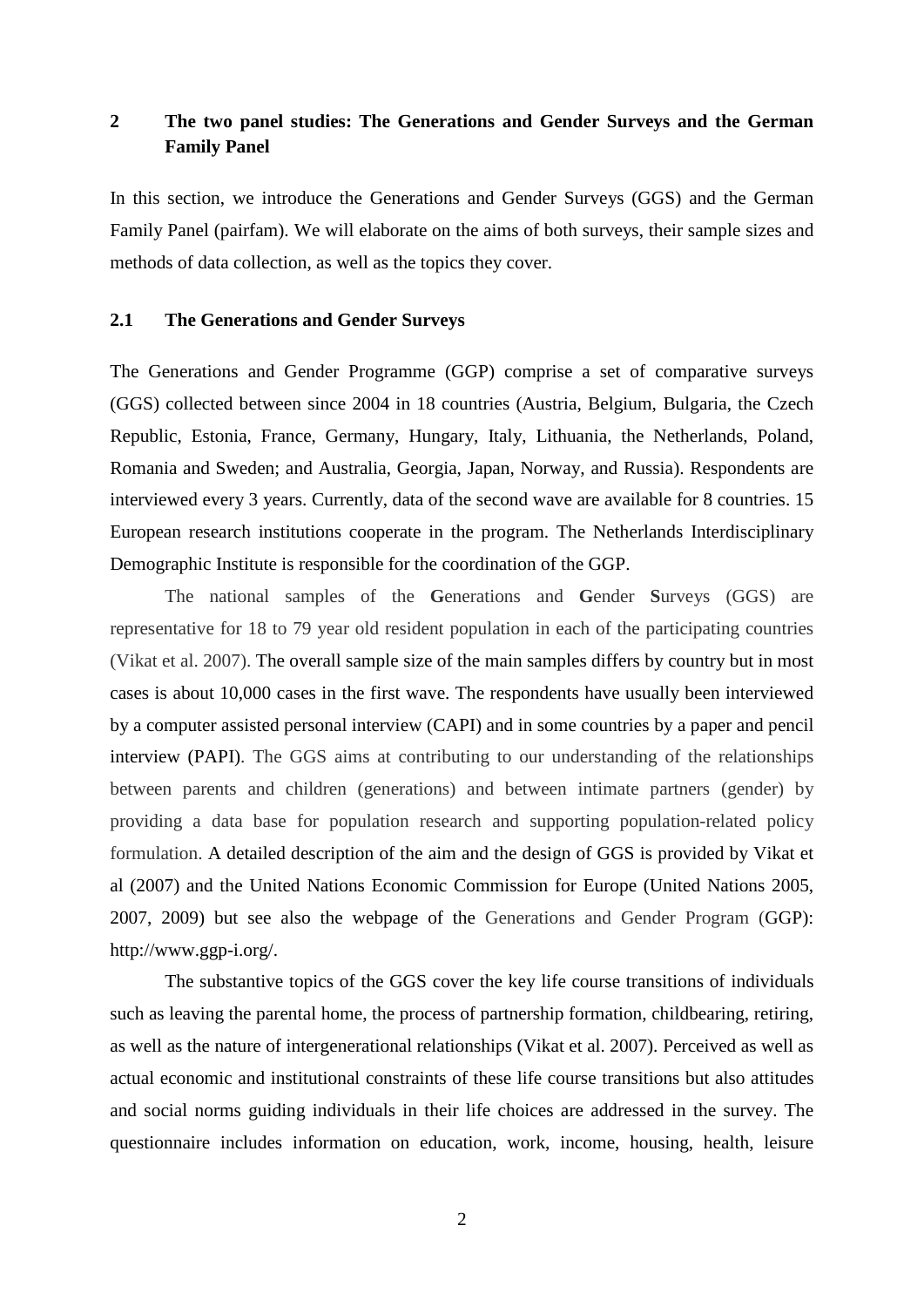# **2 The two panel studies: The Generations and Gender Surveys and the German Family Panel**

In this section, we introduce the Generations and Gender Surveys (GGS) and the German Family Panel (pairfam). We will elaborate on the aims of both surveys, their sample sizes and methods of data collection, as well as the topics they cover.

# **2.1 The Generations and Gender Surveys**

The Generations and Gender Programme (GGP) comprise a set of comparative surveys (GGS) collected between since 2004 in 18 countries (Austria, Belgium, Bulgaria, the Czech Republic, Estonia, France, Germany, Hungary, Italy, Lithuania, the Netherlands, Poland, Romania and Sweden; and Australia, Georgia, Japan, Norway, and Russia). Respondents are interviewed every 3 years. Currently, data of the second wave are available for 8 countries. 15 European research institutions cooperate in the program. The Netherlands Interdisciplinary Demographic Institute is responsible for the coordination of the GGP.

The national samples of the **G**enerations and **G**ender **S**urveys (GGS) are representative for 18 to 79 year old resident population in each of the participating countries (Vikat et al. 2007). The overall sample size of the main samples differs by country but in most cases is about 10,000 cases in the first wave. The respondents have usually been interviewed by a computer assisted personal interview (CAPI) and in some countries by a paper and pencil interview (PAPI). The GGS aims at contributing to our understanding of the relationships between parents and children (generations) and between intimate partners (gender) by providing a data base for population research and supporting population-related policy formulation. A detailed description of the aim and the design of GGS is provided by Vikat et al (2007) and the United Nations Economic Commission for Europe (United Nations 2005, 2007, 2009) but see also the webpage of the Generations and Gender Program (GGP): http://www.ggp-i.org/.

The substantive topics of the GGS cover the key life course transitions of individuals such as leaving the parental home, the process of partnership formation, childbearing, retiring, as well as the nature of intergenerational relationships (Vikat et al. 2007). Perceived as well as actual economic and institutional constraints of these life course transitions but also attitudes and social norms guiding individuals in their life choices are addressed in the survey. The questionnaire includes information on education, work, income, housing, health, leisure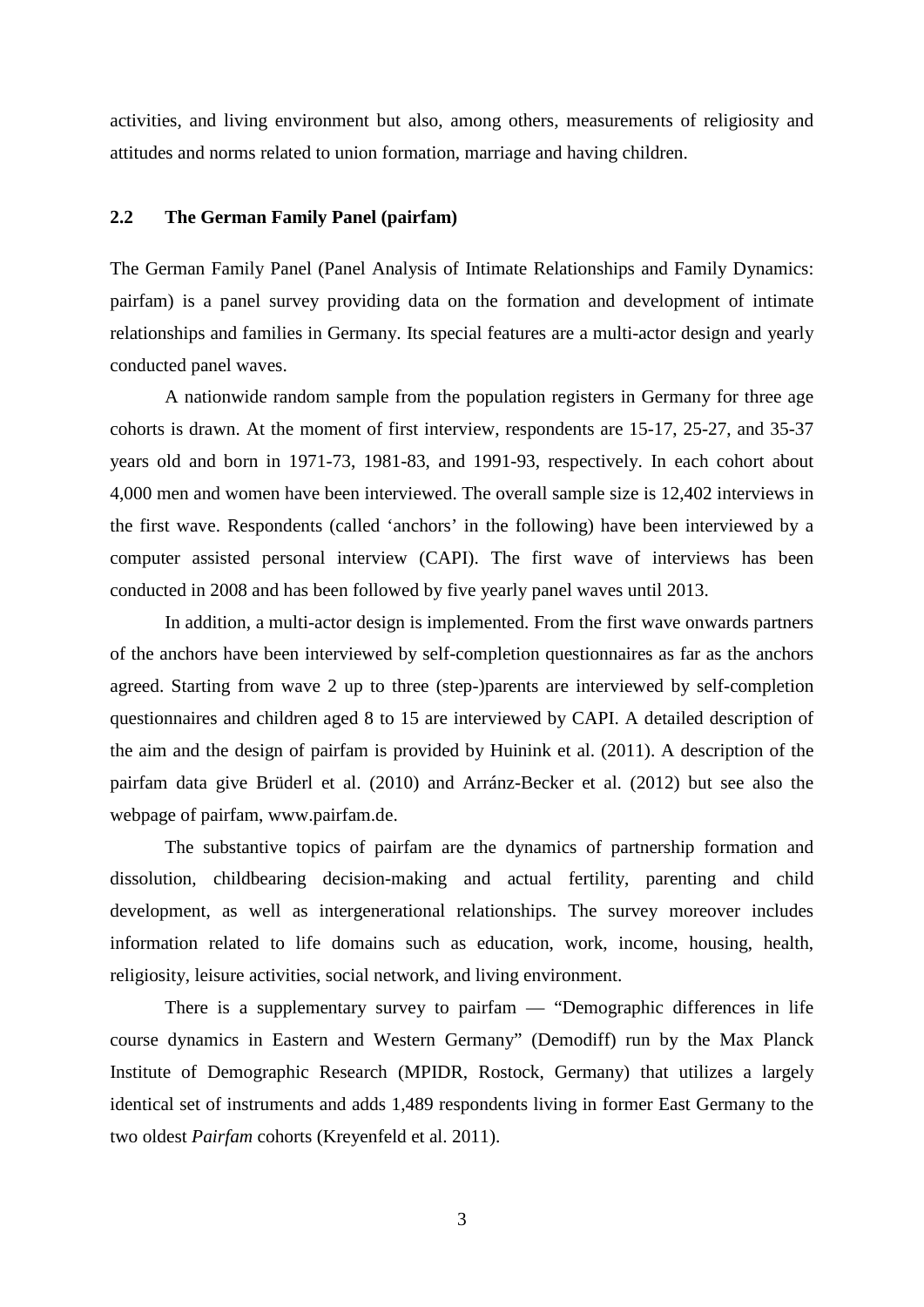activities, and living environment but also, among others, measurements of religiosity and attitudes and norms related to union formation, marriage and having children.

# **2.2 The German Family Panel (pairfam)**

The German Family Panel (Panel Analysis of Intimate Relationships and Family Dynamics: pairfam) is a panel survey providing data on the formation and development of intimate relationships and families in Germany. Its special features are a multi-actor design and yearly conducted panel waves.

A nationwide random sample from the population registers in Germany for three age cohorts is drawn. At the moment of first interview, respondents are 15-17, 25-27, and 35-37 years old and born in 1971-73, 1981-83, and 1991-93, respectively. In each cohort about 4,000 men and women have been interviewed. The overall sample size is 12,402 interviews in the first wave. Respondents (called 'anchors' in the following) have been interviewed by a computer assisted personal interview (CAPI). The first wave of interviews has been conducted in 2008 and has been followed by five yearly panel waves until 2013.

In addition, a multi-actor design is implemented. From the first wave onwards partners of the anchors have been interviewed by self-completion questionnaires as far as the anchors agreed. Starting from wave 2 up to three (step-)parents are interviewed by self-completion questionnaires and children aged 8 to 15 are interviewed by CAPI. A detailed description of the aim and the design of pairfam is provided by Huinink et al. (2011). A description of the pairfam data give Brüderl et al. (2010) and Arránz-Becker et al. (2012) but see also the webpage of pairfam, www.pairfam.de.

The substantive topics of pairfam are the dynamics of partnership formation and dissolution, childbearing decision-making and actual fertility, parenting and child development, as well as intergenerational relationships. The survey moreover includes information related to life domains such as education, work, income, housing, health, religiosity, leisure activities, social network, and living environment.

There is a supplementary survey to pairfam — "Demographic differences in life course dynamics in Eastern and Western Germany" (Demodiff) run by the Max Planck Institute of Demographic Research (MPIDR, Rostock, Germany) that utilizes a largely identical set of instruments and adds 1,489 respondents living in former East Germany to the two oldest *Pairfam* cohorts (Kreyenfeld et al. 2011).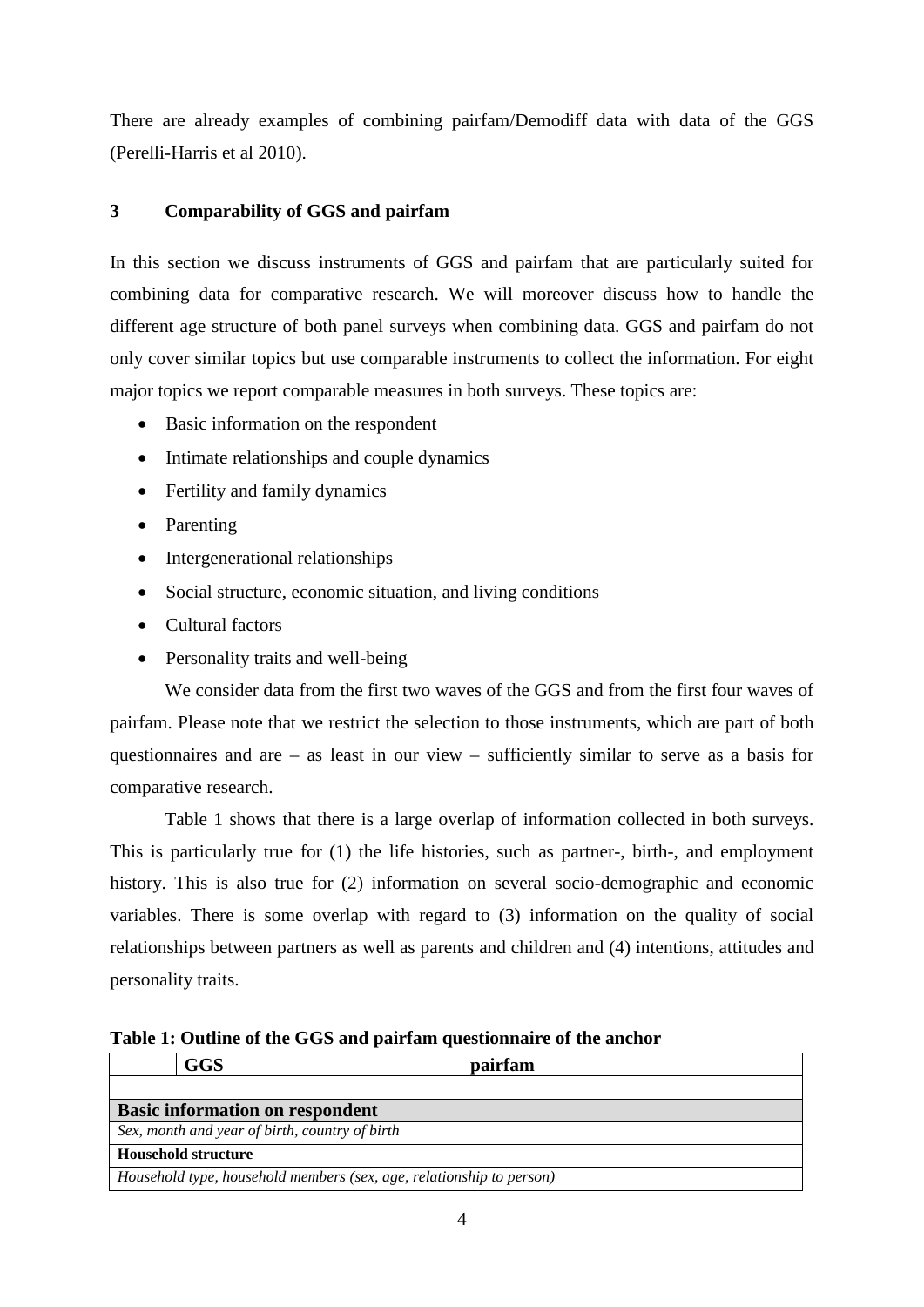There are already examples of combining pairfam/Demodiff data with data of the GGS (Perelli-Harris et al 2010).

# **3 Comparability of GGS and pairfam**

In this section we discuss instruments of GGS and pairfam that are particularly suited for combining data for comparative research. We will moreover discuss how to handle the different age structure of both panel surveys when combining data. GGS and pairfam do not only cover similar topics but use comparable instruments to collect the information. For eight major topics we report comparable measures in both surveys. These topics are:

- Basic information on the respondent
- Intimate relationships and couple dynamics
- Fertility and family dynamics
- Parenting
- Intergenerational relationships
- Social structure, economic situation, and living conditions
- Cultural factors
- Personality traits and well-being

We consider data from the first two waves of the GGS and from the first four waves of pairfam. Please note that we restrict the selection to those instruments, which are part of both questionnaires and are – as least in our view – sufficiently similar to serve as a basis for comparative research.

Table 1 shows that there is a large overlap of information collected in both surveys. This is particularly true for (1) the life histories, such as partner-, birth-, and employment history. This is also true for (2) information on several socio-demographic and economic variables. There is some overlap with regard to (3) information on the quality of social relationships between partners as well as parents and children and (4) intentions, attitudes and personality traits.

**Table 1: Outline of the GGS and pairfam questionnaire of the anchor**

|                                                                      | <b>GGS</b>                             | pairfam |  |  |
|----------------------------------------------------------------------|----------------------------------------|---------|--|--|
|                                                                      |                                        |         |  |  |
|                                                                      | <b>Basic information on respondent</b> |         |  |  |
| Sex, month and year of birth, country of birth                       |                                        |         |  |  |
|                                                                      | <b>Household structure</b>             |         |  |  |
| Household type, household members (sex, age, relationship to person) |                                        |         |  |  |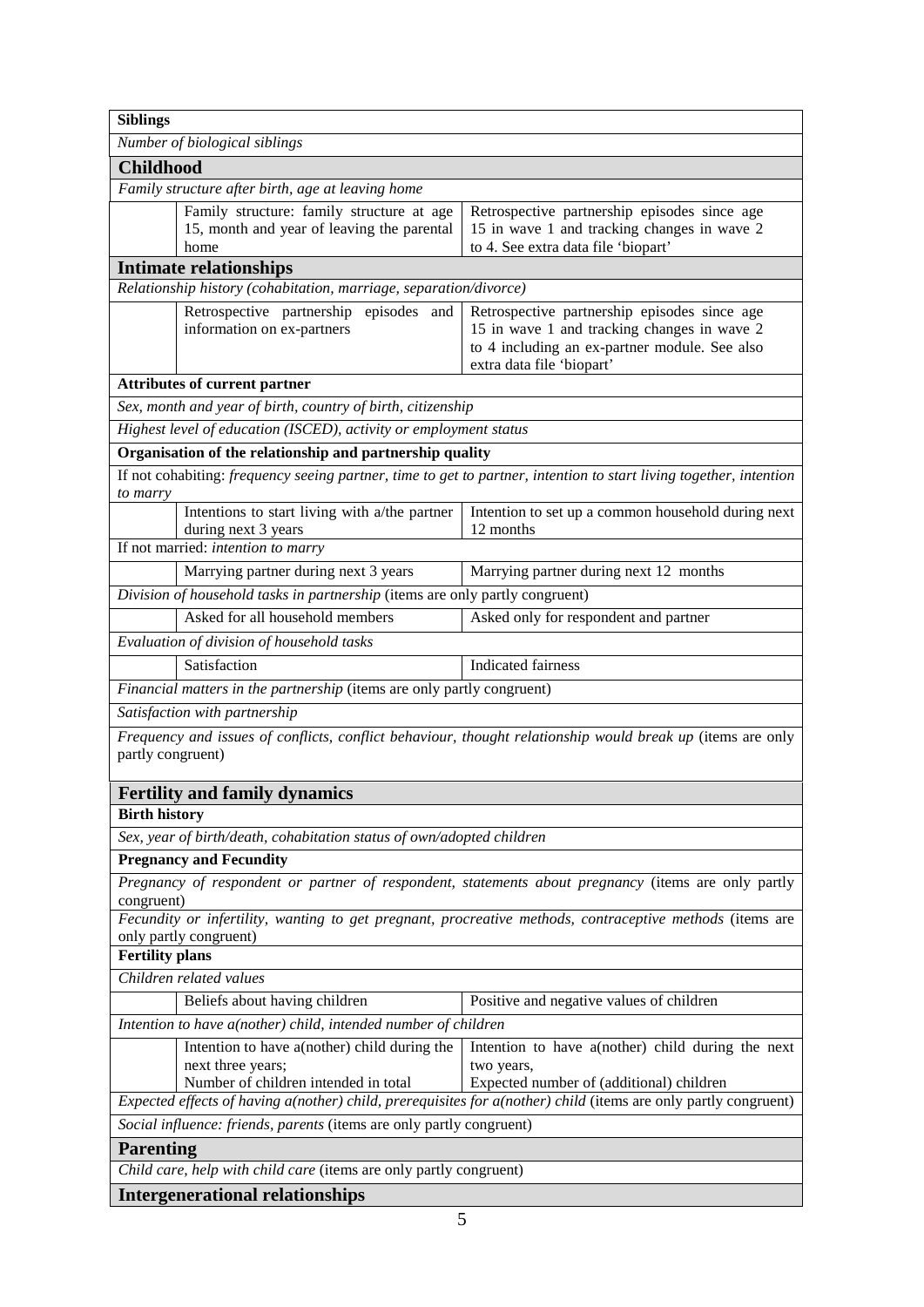| <b>Siblings</b>                                                                                                                                                                                                                       |                                                                                                            |                                                                                                                                                                           |  |  |  |  |
|---------------------------------------------------------------------------------------------------------------------------------------------------------------------------------------------------------------------------------------|------------------------------------------------------------------------------------------------------------|---------------------------------------------------------------------------------------------------------------------------------------------------------------------------|--|--|--|--|
|                                                                                                                                                                                                                                       | Number of biological siblings                                                                              |                                                                                                                                                                           |  |  |  |  |
| <b>Childhood</b>                                                                                                                                                                                                                      |                                                                                                            |                                                                                                                                                                           |  |  |  |  |
|                                                                                                                                                                                                                                       | Family structure after birth, age at leaving home                                                          |                                                                                                                                                                           |  |  |  |  |
| Family structure: family structure at age<br>Retrospective partnership episodes since age<br>15, month and year of leaving the parental<br>15 in wave 1 and tracking changes in wave 2<br>to 4. See extra data file 'biopart'<br>home |                                                                                                            |                                                                                                                                                                           |  |  |  |  |
|                                                                                                                                                                                                                                       | <b>Intimate relationships</b>                                                                              |                                                                                                                                                                           |  |  |  |  |
|                                                                                                                                                                                                                                       | Relationship history (cohabitation, marriage, separation/divorce)                                          |                                                                                                                                                                           |  |  |  |  |
|                                                                                                                                                                                                                                       | Retrospective partnership episodes<br>and<br>information on ex-partners                                    | Retrospective partnership episodes since age<br>15 in wave 1 and tracking changes in wave 2<br>to 4 including an ex-partner module. See also<br>extra data file 'biopart' |  |  |  |  |
|                                                                                                                                                                                                                                       | <b>Attributes of current partner</b>                                                                       |                                                                                                                                                                           |  |  |  |  |
|                                                                                                                                                                                                                                       | Sex, month and year of birth, country of birth, citizenship                                                |                                                                                                                                                                           |  |  |  |  |
|                                                                                                                                                                                                                                       | Highest level of education (ISCED), activity or employment status                                          |                                                                                                                                                                           |  |  |  |  |
|                                                                                                                                                                                                                                       | Organisation of the relationship and partnership quality                                                   |                                                                                                                                                                           |  |  |  |  |
| to marry                                                                                                                                                                                                                              |                                                                                                            | If not cohabiting: frequency seeing partner, time to get to partner, intention to start living together, intention                                                        |  |  |  |  |
|                                                                                                                                                                                                                                       | Intentions to start living with a/the partner<br>during next 3 years                                       | Intention to set up a common household during next<br>12 months                                                                                                           |  |  |  |  |
|                                                                                                                                                                                                                                       | If not married: intention to marry                                                                         |                                                                                                                                                                           |  |  |  |  |
|                                                                                                                                                                                                                                       | Marrying partner during next 12 months<br>Marrying partner during next 3 years                             |                                                                                                                                                                           |  |  |  |  |
|                                                                                                                                                                                                                                       | Division of household tasks in partnership (items are only partly congruent)                               |                                                                                                                                                                           |  |  |  |  |
|                                                                                                                                                                                                                                       | Asked for all household members<br>Asked only for respondent and partner                                   |                                                                                                                                                                           |  |  |  |  |
|                                                                                                                                                                                                                                       | Evaluation of division of household tasks                                                                  |                                                                                                                                                                           |  |  |  |  |
|                                                                                                                                                                                                                                       | Satisfaction                                                                                               | <b>Indicated fairness</b>                                                                                                                                                 |  |  |  |  |
|                                                                                                                                                                                                                                       | Financial matters in the partnership (items are only partly congruent)                                     |                                                                                                                                                                           |  |  |  |  |
|                                                                                                                                                                                                                                       | Satisfaction with partnership                                                                              |                                                                                                                                                                           |  |  |  |  |
| partly congruent)                                                                                                                                                                                                                     |                                                                                                            | Frequency and issues of conflicts, conflict behaviour, thought relationship would break up (items are only                                                                |  |  |  |  |
|                                                                                                                                                                                                                                       | <b>Fertility and family dynamics</b>                                                                       |                                                                                                                                                                           |  |  |  |  |
| <b>Birth history</b>                                                                                                                                                                                                                  |                                                                                                            |                                                                                                                                                                           |  |  |  |  |
|                                                                                                                                                                                                                                       | Sex, year of birth/death, cohabitation status of own/adopted children                                      |                                                                                                                                                                           |  |  |  |  |
|                                                                                                                                                                                                                                       | <b>Pregnancy and Fecundity</b>                                                                             |                                                                                                                                                                           |  |  |  |  |
| congruent)                                                                                                                                                                                                                            |                                                                                                            | Pregnancy of respondent or partner of respondent, statements about pregnancy (items are only partly                                                                       |  |  |  |  |
|                                                                                                                                                                                                                                       | only partly congruent)                                                                                     | Fecundity or infertility, wanting to get pregnant, procreative methods, contraceptive methods (items are                                                                  |  |  |  |  |
| <b>Fertility plans</b>                                                                                                                                                                                                                |                                                                                                            |                                                                                                                                                                           |  |  |  |  |
|                                                                                                                                                                                                                                       | Children related values                                                                                    |                                                                                                                                                                           |  |  |  |  |
|                                                                                                                                                                                                                                       | Beliefs about having children                                                                              | Positive and negative values of children                                                                                                                                  |  |  |  |  |
|                                                                                                                                                                                                                                       | Intention to have a(nother) child, intended number of children                                             |                                                                                                                                                                           |  |  |  |  |
|                                                                                                                                                                                                                                       | Intention to have a (nother) child during the<br>next three years;<br>Number of children intended in total | Intention to have a(nother) child during the next<br>two years,<br>Expected number of (additional) children                                                               |  |  |  |  |
|                                                                                                                                                                                                                                       |                                                                                                            | Expected effects of having a(nother) child, prerequisites for a(nother) child (items are only partly congruent)                                                           |  |  |  |  |
|                                                                                                                                                                                                                                       | Social influence: friends, parents (items are only partly congruent)                                       |                                                                                                                                                                           |  |  |  |  |
| <b>Parenting</b>                                                                                                                                                                                                                      |                                                                                                            |                                                                                                                                                                           |  |  |  |  |
|                                                                                                                                                                                                                                       | Child care, help with child care (items are only partly congruent)                                         |                                                                                                                                                                           |  |  |  |  |
| <b>Intergenerational relationships</b>                                                                                                                                                                                                |                                                                                                            |                                                                                                                                                                           |  |  |  |  |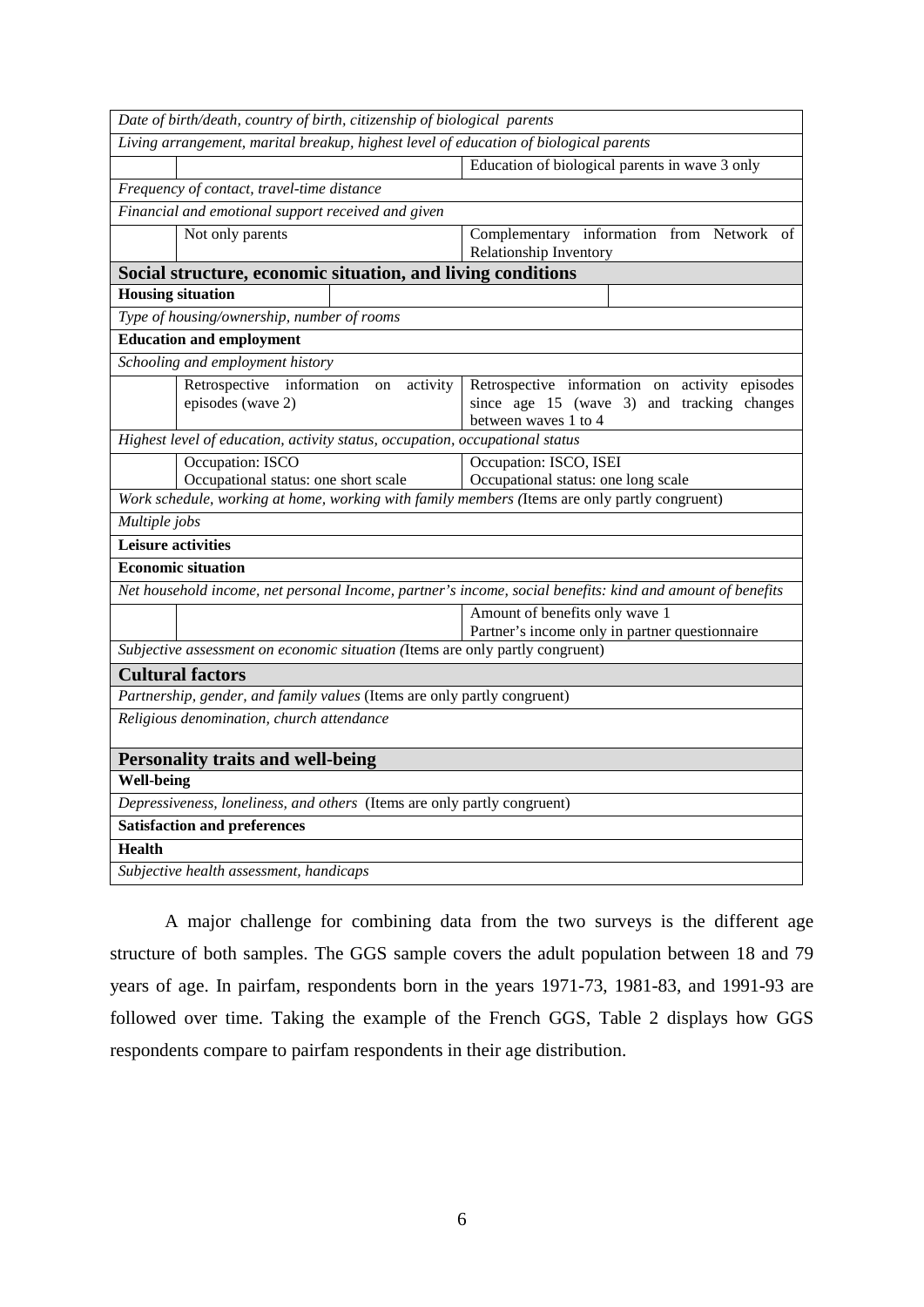| Date of birth/death, country of birth, citizenship of biological parents                                                              |                                                                                                                      |  |  |  |  |
|---------------------------------------------------------------------------------------------------------------------------------------|----------------------------------------------------------------------------------------------------------------------|--|--|--|--|
| Living arrangement, marital breakup, highest level of education of biological parents                                                 |                                                                                                                      |  |  |  |  |
|                                                                                                                                       | Education of biological parents in wave 3 only                                                                       |  |  |  |  |
| Frequency of contact, travel-time distance                                                                                            |                                                                                                                      |  |  |  |  |
| Financial and emotional support received and given                                                                                    |                                                                                                                      |  |  |  |  |
| Not only parents                                                                                                                      | Complementary information from Network of                                                                            |  |  |  |  |
| Relationship Inventory<br>Social structure, economic situation, and living conditions                                                 |                                                                                                                      |  |  |  |  |
| <b>Housing situation</b>                                                                                                              |                                                                                                                      |  |  |  |  |
|                                                                                                                                       |                                                                                                                      |  |  |  |  |
| Type of housing/ownership, number of rooms                                                                                            |                                                                                                                      |  |  |  |  |
| <b>Education and employment</b>                                                                                                       |                                                                                                                      |  |  |  |  |
| Schooling and employment history                                                                                                      |                                                                                                                      |  |  |  |  |
| Retrospective information<br>activity<br>$\,$ on $\,$<br>episodes (wave 2)                                                            | Retrospective information on activity episodes<br>since age 15 (wave 3) and tracking changes<br>between waves 1 to 4 |  |  |  |  |
| Highest level of education, activity status, occupation, occupational status                                                          |                                                                                                                      |  |  |  |  |
| Occupation: ISCO                                                                                                                      | Occupation: ISCO, ISEI                                                                                               |  |  |  |  |
| Occupational status: one short scale<br>Work schedule, working at home, working with family members (Items are only partly congruent) | Occupational status: one long scale                                                                                  |  |  |  |  |
|                                                                                                                                       |                                                                                                                      |  |  |  |  |
| Multiple jobs                                                                                                                         |                                                                                                                      |  |  |  |  |
| <b>Leisure activities</b>                                                                                                             |                                                                                                                      |  |  |  |  |
| <b>Economic situation</b>                                                                                                             |                                                                                                                      |  |  |  |  |
| Net household income, net personal Income, partner's income, social benefits: kind and amount of benefits                             |                                                                                                                      |  |  |  |  |
|                                                                                                                                       | Amount of benefits only wave 1                                                                                       |  |  |  |  |
| Subjective assessment on economic situation (Items are only partly congruent)                                                         | Partner's income only in partner questionnaire                                                                       |  |  |  |  |
| <b>Cultural factors</b>                                                                                                               |                                                                                                                      |  |  |  |  |
|                                                                                                                                       |                                                                                                                      |  |  |  |  |
| Partnership, gender, and family values (Items are only partly congruent)                                                              |                                                                                                                      |  |  |  |  |
| Religious denomination, church attendance                                                                                             |                                                                                                                      |  |  |  |  |
| <b>Personality traits and well-being</b>                                                                                              |                                                                                                                      |  |  |  |  |
| <b>Well-being</b>                                                                                                                     |                                                                                                                      |  |  |  |  |
| Depressiveness, loneliness, and others (Items are only partly congruent)                                                              |                                                                                                                      |  |  |  |  |
| <b>Satisfaction and preferences</b>                                                                                                   |                                                                                                                      |  |  |  |  |
| <b>Health</b>                                                                                                                         |                                                                                                                      |  |  |  |  |
| Subjective health assessment, handicaps                                                                                               |                                                                                                                      |  |  |  |  |

A major challenge for combining data from the two surveys is the different age structure of both samples. The GGS sample covers the adult population between 18 and 79 years of age. In pairfam, respondents born in the years 1971-73, 1981-83, and 1991-93 are followed over time. Taking the example of the French GGS, Table 2 displays how GGS respondents compare to pairfam respondents in their age distribution.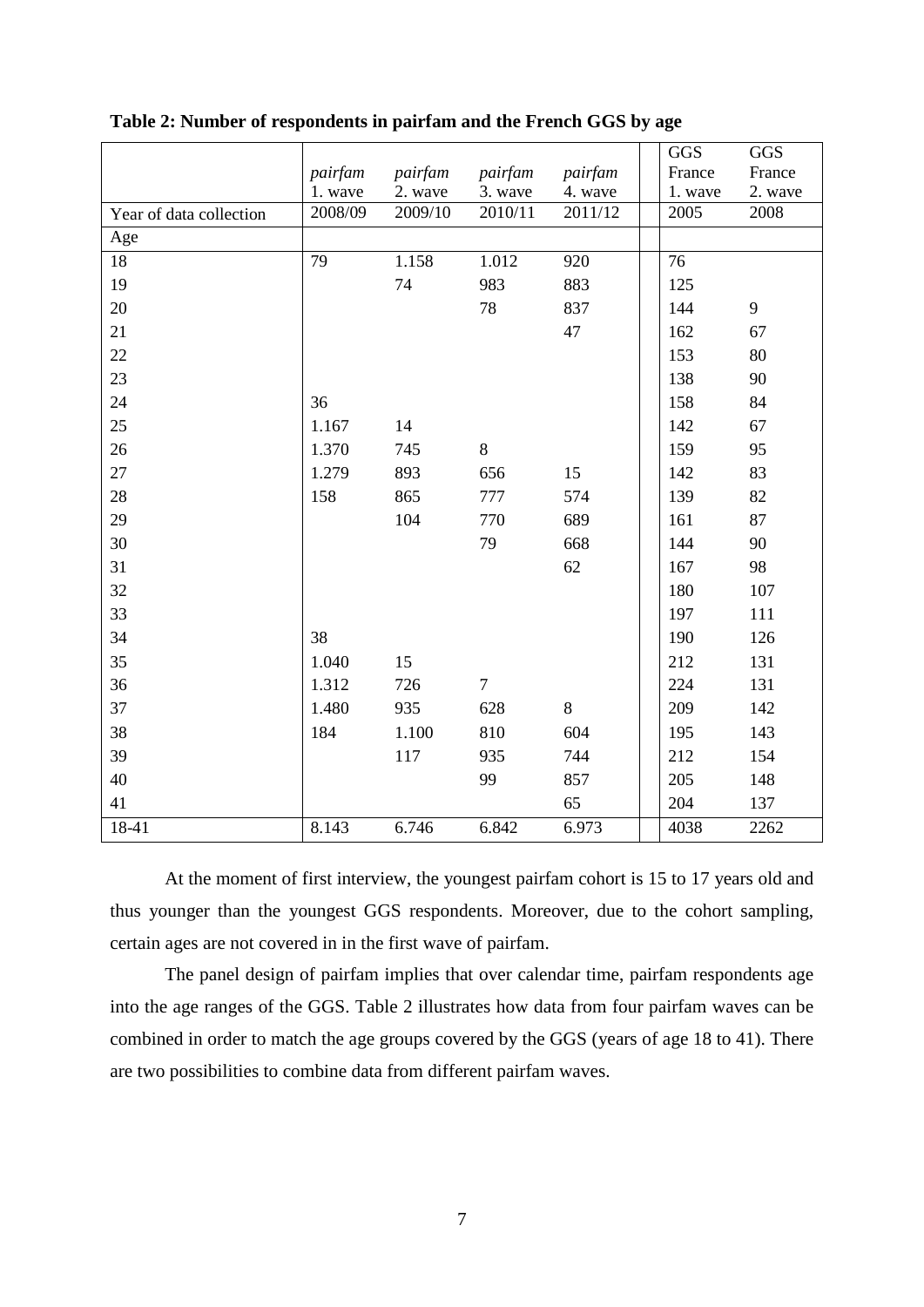|                         |                    |                    |                    |                    | <b>GGS</b><br>France | <b>GGS</b>        |
|-------------------------|--------------------|--------------------|--------------------|--------------------|----------------------|-------------------|
|                         | pairfam<br>1. wave | pairfam<br>2. wave | pairfam<br>3. wave | pairfam<br>4. wave | 1. wave              | France<br>2. wave |
| Year of data collection | 2008/09            | 2009/10            | 2010/11            | 2011/12            | 2005                 | 2008              |
| Age                     |                    |                    |                    |                    |                      |                   |
| 18                      | $\overline{79}$    | 1.158              | 1.012              | 920                | $\overline{76}$      |                   |
| 19                      |                    | 74                 | 983                | 883                | 125                  |                   |
| 20                      |                    |                    | 78                 | 837                | 144                  | 9                 |
| 21                      |                    |                    |                    | 47                 | 162                  | 67                |
| 22                      |                    |                    |                    |                    | 153                  | 80                |
| 23                      |                    |                    |                    |                    | 138                  | 90                |
| 24                      | 36                 |                    |                    |                    | 158                  | 84                |
| 25                      | 1.167              | 14                 |                    |                    | 142                  | 67                |
| 26                      | 1.370              | 745                | 8                  |                    | 159                  | 95                |
| 27                      | 1.279              | 893                | 656                | 15                 | 142                  | 83                |
| 28                      | 158                | 865                | 777                | 574                | 139                  | 82                |
| 29                      |                    | 104                | 770                | 689                | 161                  | 87                |
| 30                      |                    |                    | 79                 | 668                | 144                  | 90                |
| 31                      |                    |                    |                    | 62                 | 167                  | 98                |
| 32                      |                    |                    |                    |                    | 180                  | 107               |
| 33                      |                    |                    |                    |                    | 197                  | 111               |
| 34                      | 38                 |                    |                    |                    | 190                  | 126               |
| 35                      | 1.040              | 15                 |                    |                    | 212                  | 131               |
| 36                      | 1.312              | 726                | $\overline{7}$     |                    | 224                  | 131               |
| 37                      | 1.480              | 935                | 628                | 8                  | 209                  | 142               |
| 38                      | 184                | 1.100              | 810                | 604                | 195                  | 143               |
| 39                      |                    | 117                | 935                | 744                | 212                  | 154               |
| 40                      |                    |                    | 99                 | 857                | 205                  | 148               |
| 41                      |                    |                    |                    | 65                 | 204                  | 137               |
| 18-41                   | 8.143              | 6.746              | 6.842              | 6.973              | 4038                 | 2262              |

**Table 2: Number of respondents in pairfam and the French GGS by age** 

At the moment of first interview, the youngest pairfam cohort is 15 to 17 years old and thus younger than the youngest GGS respondents. Moreover, due to the cohort sampling, certain ages are not covered in in the first wave of pairfam.

The panel design of pairfam implies that over calendar time, pairfam respondents age into the age ranges of the GGS. Table 2 illustrates how data from four pairfam waves can be combined in order to match the age groups covered by the GGS (years of age 18 to 41). There are two possibilities to combine data from different pairfam waves.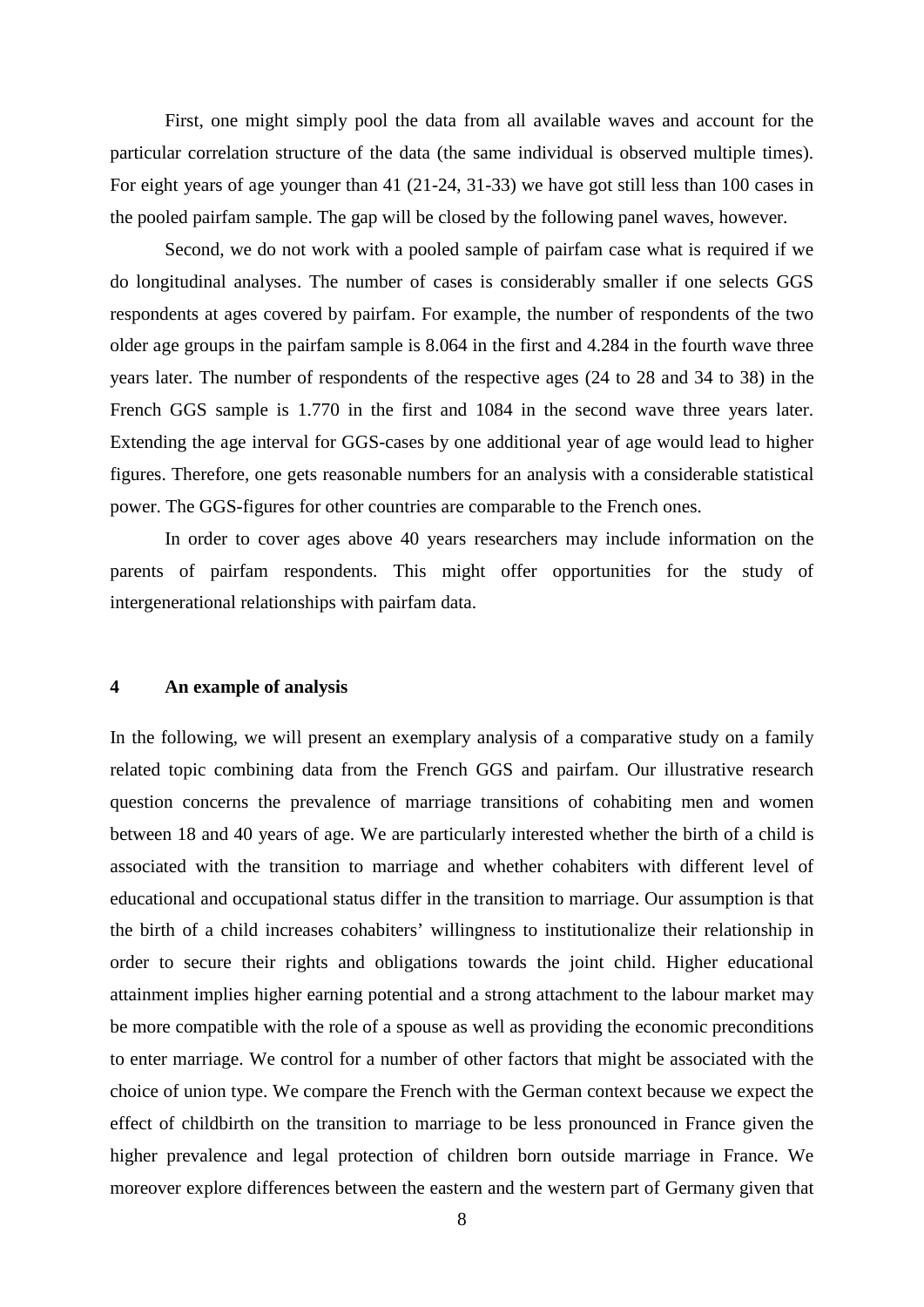First, one might simply pool the data from all available waves and account for the particular correlation structure of the data (the same individual is observed multiple times). For eight years of age younger than 41 (21-24, 31-33) we have got still less than 100 cases in the pooled pairfam sample. The gap will be closed by the following panel waves, however.

Second, we do not work with a pooled sample of pairfam case what is required if we do longitudinal analyses. The number of cases is considerably smaller if one selects GGS respondents at ages covered by pairfam. For example, the number of respondents of the two older age groups in the pairfam sample is 8.064 in the first and 4.284 in the fourth wave three years later. The number of respondents of the respective ages (24 to 28 and 34 to 38) in the French GGS sample is 1.770 in the first and 1084 in the second wave three years later. Extending the age interval for GGS-cases by one additional year of age would lead to higher figures. Therefore, one gets reasonable numbers for an analysis with a considerable statistical power. The GGS-figures for other countries are comparable to the French ones.

In order to cover ages above 40 years researchers may include information on the parents of pairfam respondents. This might offer opportunities for the study of intergenerational relationships with pairfam data.

#### **4 An example of analysis**

In the following, we will present an exemplary analysis of a comparative study on a family related topic combining data from the French GGS and pairfam. Our illustrative research question concerns the prevalence of marriage transitions of cohabiting men and women between 18 and 40 years of age. We are particularly interested whether the birth of a child is associated with the transition to marriage and whether cohabiters with different level of educational and occupational status differ in the transition to marriage. Our assumption is that the birth of a child increases cohabiters' willingness to institutionalize their relationship in order to secure their rights and obligations towards the joint child. Higher educational attainment implies higher earning potential and a strong attachment to the labour market may be more compatible with the role of a spouse as well as providing the economic preconditions to enter marriage. We control for a number of other factors that might be associated with the choice of union type. We compare the French with the German context because we expect the effect of childbirth on the transition to marriage to be less pronounced in France given the higher prevalence and legal protection of children born outside marriage in France. We moreover explore differences between the eastern and the western part of Germany given that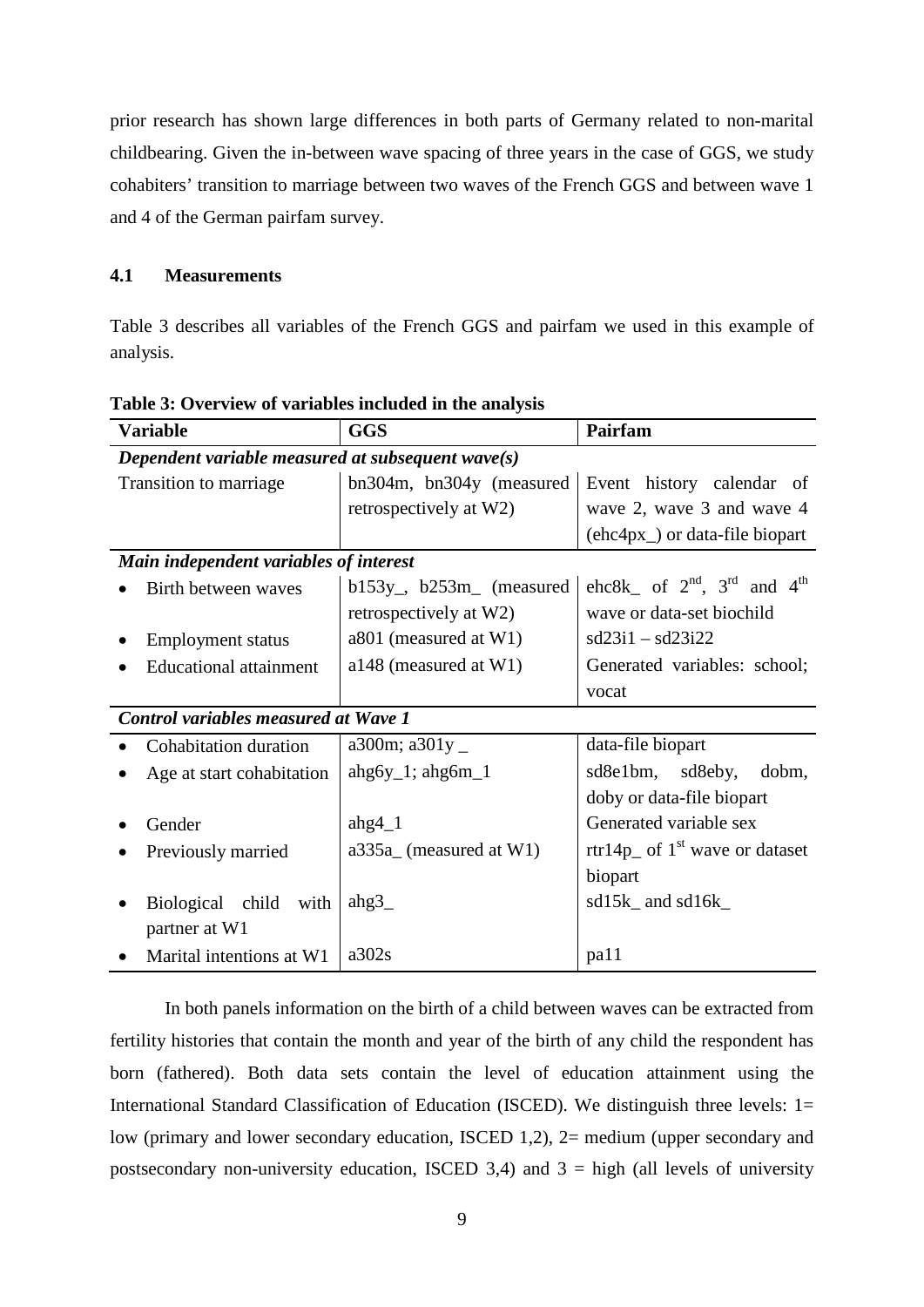prior research has shown large differences in both parts of Germany related to non-marital childbearing. Given the in-between wave spacing of three years in the case of GGS, we study cohabiters' transition to marriage between two waves of the French GGS and between wave 1 and 4 of the German pairfam survey.

# **4.1 Measurements**

Table 3 describes all variables of the French GGS and pairfam we used in this example of analysis.

| <b>Variable</b>                             | <b>GGS</b>                                           | Pairfam                                      |  |  |  |  |  |  |  |
|---------------------------------------------|------------------------------------------------------|----------------------------------------------|--|--|--|--|--|--|--|
|                                             | Dependent variable measured at subsequent wave $(s)$ |                                              |  |  |  |  |  |  |  |
| Transition to marriage                      | bn304m, bn304y (measured                             | Event history calendar of                    |  |  |  |  |  |  |  |
|                                             | retrospectively at W2)                               | wave 2, wave 3 and wave 4                    |  |  |  |  |  |  |  |
|                                             |                                                      | $(ehc4px)$ or data-file biopart              |  |  |  |  |  |  |  |
| Main independent variables of interest      |                                                      |                                              |  |  |  |  |  |  |  |
| Birth between waves                         | $b153y$ , $b253m$ (measured                          | ehc8k of $2^{nd}$ , $3^{rd}$ and $4^{th}$    |  |  |  |  |  |  |  |
|                                             | retrospectively at W2)                               | wave or data-set biochild                    |  |  |  |  |  |  |  |
| <b>Employment status</b>                    | a801 (measured at W1)                                | $sd23i1 - sd23i22$                           |  |  |  |  |  |  |  |
| <b>Educational attainment</b>               | a148 (measured at W1)                                | Generated variables: school;                 |  |  |  |  |  |  |  |
|                                             |                                                      | vocat                                        |  |  |  |  |  |  |  |
| <b>Control variables measured at Wave 1</b> |                                                      |                                              |  |  |  |  |  |  |  |
| Cohabitation duration                       | a300m; a301y $\_$                                    | data-file biopart                            |  |  |  |  |  |  |  |
| Age at start cohabitation                   | $ahg6y_1$ ; $ahg6m_1$                                | sd8e1bm, sd8eby, dobm,                       |  |  |  |  |  |  |  |
|                                             |                                                      | doby or data-file biopart                    |  |  |  |  |  |  |  |
| Gender                                      | ahg $4_1$                                            | Generated variable sex                       |  |  |  |  |  |  |  |
| Previously married                          | $a335a$ (measured at W1)                             | rtr14p <sub>c</sub> of $1st$ wave or dataset |  |  |  |  |  |  |  |
|                                             |                                                      | biopart                                      |  |  |  |  |  |  |  |
| Biological child with                       | ahg $3$                                              | $sd15k$ and $sd16k$                          |  |  |  |  |  |  |  |
| partner at W1                               |                                                      |                                              |  |  |  |  |  |  |  |
| Marital intentions at W1                    | a302s                                                | pa11                                         |  |  |  |  |  |  |  |

**Table 3: Overview of variables included in the analysis**

In both panels information on the birth of a child between waves can be extracted from fertility histories that contain the month and year of the birth of any child the respondent has born (fathered). Both data sets contain the level of education attainment using the International Standard Classification of Education (ISCED). We distinguish three levels: 1= low (primary and lower secondary education, ISCED 1,2), 2= medium (upper secondary and postsecondary non-university education, ISCED 3,4) and  $3 =$  high (all levels of university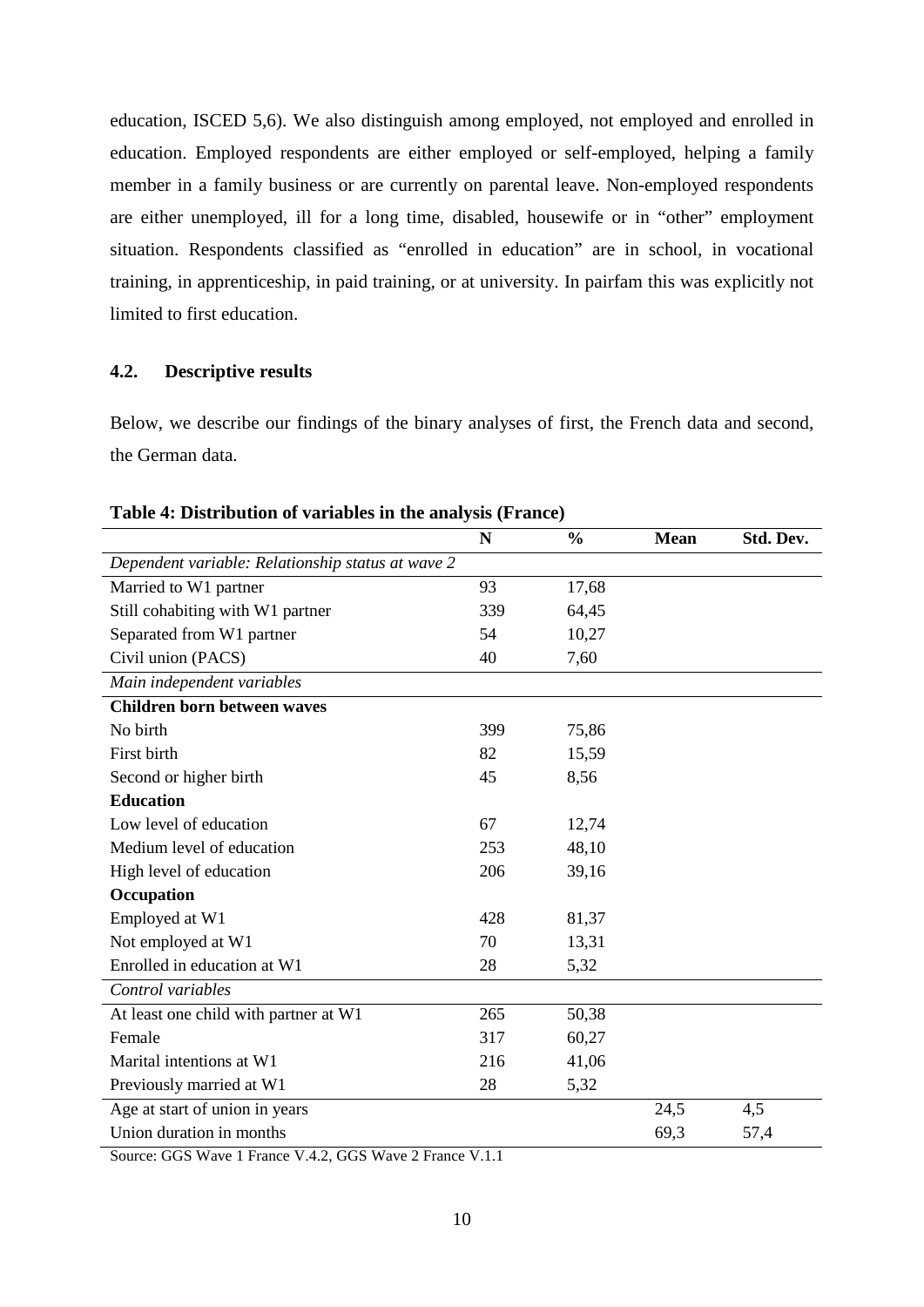education, ISCED 5,6). We also distinguish among employed, not employed and enrolled in education. Employed respondents are either employed or self-employed, helping a family member in a family business or are currently on parental leave. Non-employed respondents are either unemployed, ill for a long time, disabled, housewife or in "other" employment situation. Respondents classified as "enrolled in education" are in school, in vocational training, in apprenticeship, in paid training, or at university. In pairfam this was explicitly not limited to first education.

# **4.2. Descriptive results**

Below, we describe our findings of the binary analyses of first, the French data and second, the German data.

|                                                   | N   | $\frac{0}{0}$ | <b>Mean</b> | Std. Dev. |
|---------------------------------------------------|-----|---------------|-------------|-----------|
| Dependent variable: Relationship status at wave 2 |     |               |             |           |
| Married to W1 partner                             | 93  | 17,68         |             |           |
| Still cohabiting with W1 partner                  | 339 | 64,45         |             |           |
| Separated from W1 partner                         | 54  | 10,27         |             |           |
| Civil union (PACS)                                | 40  | 7,60          |             |           |
| Main independent variables                        |     |               |             |           |
| <b>Children born between waves</b>                |     |               |             |           |
| No birth                                          | 399 | 75,86         |             |           |
| First birth                                       | 82  | 15,59         |             |           |
| Second or higher birth                            | 45  | 8,56          |             |           |
| <b>Education</b>                                  |     |               |             |           |
| Low level of education                            | 67  | 12,74         |             |           |
| Medium level of education                         | 253 | 48,10         |             |           |
| High level of education                           | 206 | 39,16         |             |           |
| Occupation                                        |     |               |             |           |
| Employed at W1                                    | 428 | 81,37         |             |           |
| Not employed at W1                                | 70  | 13,31         |             |           |
| Enrolled in education at W1                       | 28  | 5,32          |             |           |
| Control variables                                 |     |               |             |           |
| At least one child with partner at W1             | 265 | 50,38         |             |           |
| Female                                            | 317 | 60,27         |             |           |
| Marital intentions at W1                          | 216 | 41,06         |             |           |
| Previously married at W1                          | 28  | 5,32          |             |           |
| Age at start of union in years                    |     |               | 24,5        | 4,5       |
| Union duration in months                          |     |               | 69,3        | 57,4      |

#### **Table 4: Distribution of variables in the analysis (France)**

Source: GGS Wave 1 France V.4.2, GGS Wave 2 France V.1.1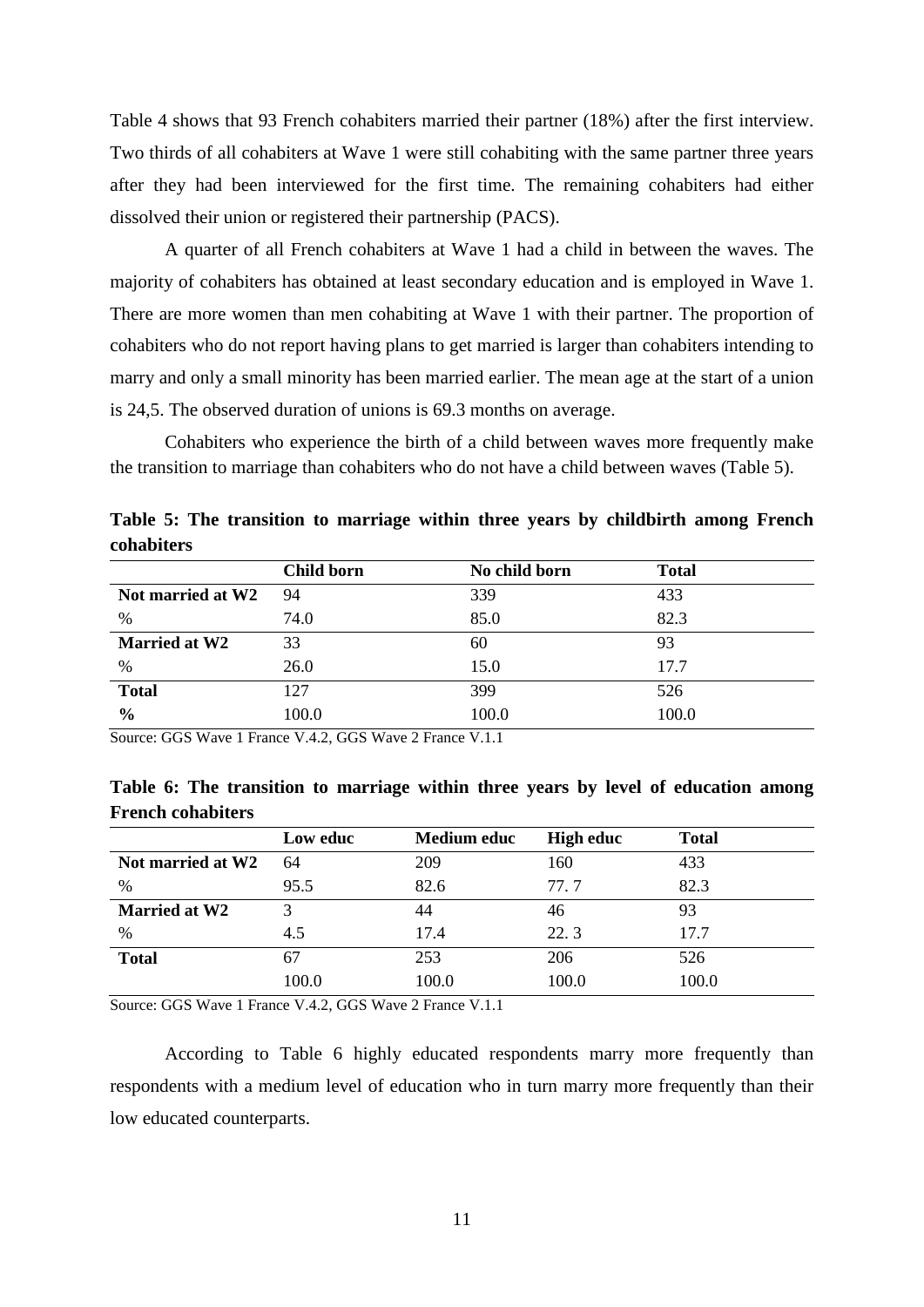Table 4 shows that 93 French cohabiters married their partner (18%) after the first interview. Two thirds of all cohabiters at Wave 1 were still cohabiting with the same partner three years after they had been interviewed for the first time. The remaining cohabiters had either dissolved their union or registered their partnership (PACS).

A quarter of all French cohabiters at Wave 1 had a child in between the waves. The majority of cohabiters has obtained at least secondary education and is employed in Wave 1. There are more women than men cohabiting at Wave 1 with their partner. The proportion of cohabiters who do not report having plans to get married is larger than cohabiters intending to marry and only a small minority has been married earlier. The mean age at the start of a union is 24,5. The observed duration of unions is 69.3 months on average.

Cohabiters who experience the birth of a child between waves more frequently make the transition to marriage than cohabiters who do not have a child between waves (Table 5).

| cohabiters           |            |               |              |  |
|----------------------|------------|---------------|--------------|--|
|                      | Child born | No child born | <b>Total</b> |  |
| Not married at W2    | 94         | 339           | 433          |  |
| %                    | 74.0       | 85.0          | 82.3         |  |
| <b>Married at W2</b> | 33         | 60            | 93           |  |
| $\%$                 | 26.0       | 15.0          | 17.7         |  |
| <b>Total</b>         | 127        | 399           | 526          |  |
| $\frac{6}{9}$        | 100.0      | 100.0         | 100.0        |  |

**Table 5: The transition to marriage within three years by childbirth among French cohabiters** 

Source: GGS Wave 1 France V.4.2, GGS Wave 2 France V.1.1

|                          |  |  |  |  |  | Table 6: The transition to marriage within three years by level of education among |  |
|--------------------------|--|--|--|--|--|------------------------------------------------------------------------------------|--|
| <b>French cohabiters</b> |  |  |  |  |  |                                                                                    |  |

|                      | Low educ | <b>Medium educ</b> | <b>High educ</b> | <b>Total</b> |
|----------------------|----------|--------------------|------------------|--------------|
| Not married at W2    | 64       | 209                | 160              | 433          |
| %                    | 95.5     | 82.6               | 77.7             | 82.3         |
| <b>Married at W2</b> |          |                    | 46               | 93           |
| %                    | 4.5      | 17.4               | 22.3             | 17.7         |
| <b>Total</b>         | 67       | 253                | 206              | 526          |
|                      | 100.0    | 100.0              | 100.0            | 100.0        |

Source: GGS Wave 1 France V.4.2, GGS Wave 2 France V.1.1

According to Table 6 highly educated respondents marry more frequently than respondents with a medium level of education who in turn marry more frequently than their low educated counterparts.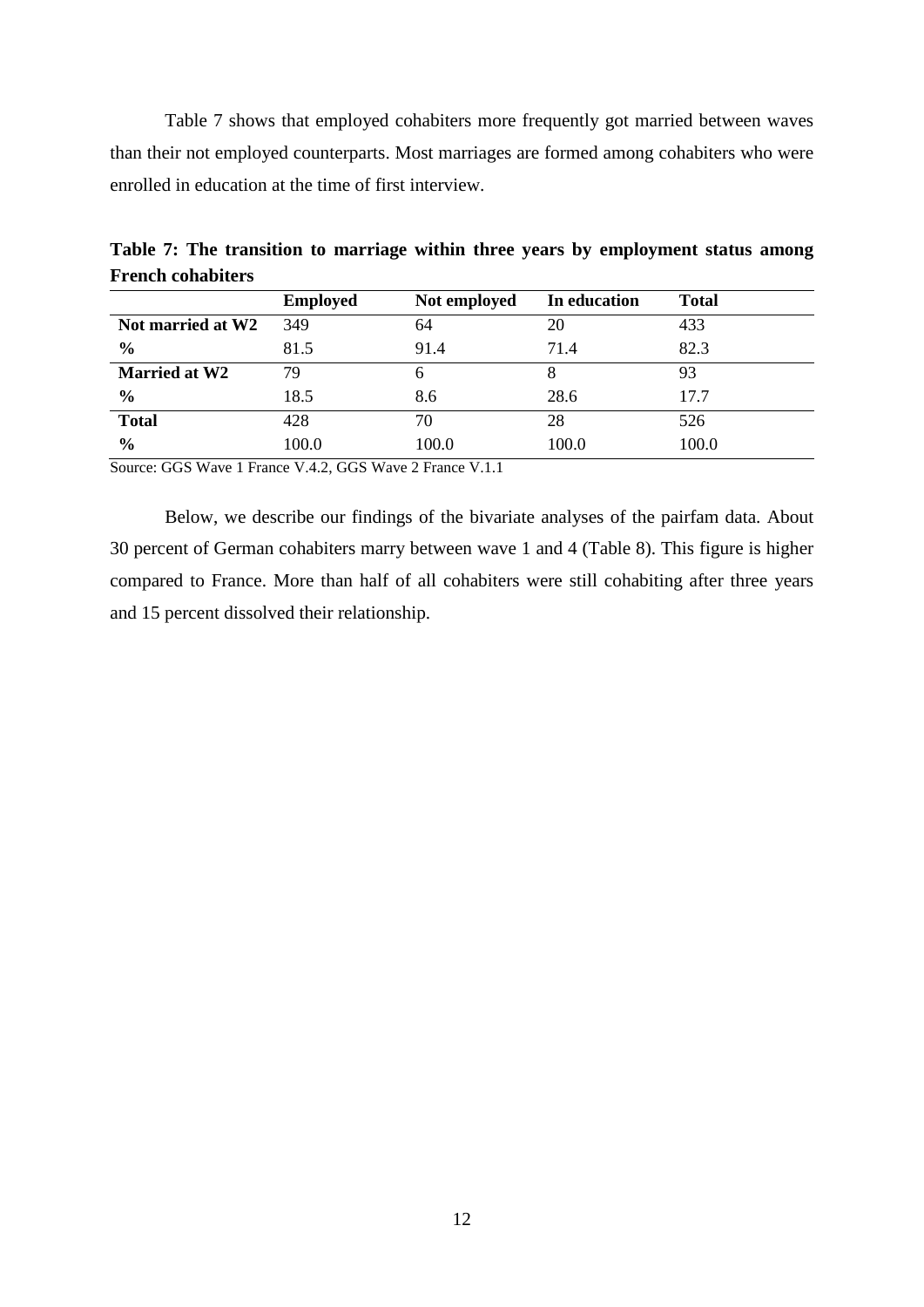Table 7 shows that employed cohabiters more frequently got married between waves than their not employed counterparts. Most marriages are formed among cohabiters who were enrolled in education at the time of first interview.

|                      | <b>Employed</b> | Not employed | In education | <b>Total</b> |
|----------------------|-----------------|--------------|--------------|--------------|
| Not married at W2    | 349             | 64           | 20           | 433          |
| $\frac{6}{6}$        | 81.5            | 91.4         | 71.4         | 82.3         |
| <b>Married at W2</b> | 79              | 6            |              | 93           |
| $\frac{6}{9}$        | 18.5            | 8.6          | 28.6         | 17.7         |
| <b>Total</b>         | 428             | 70           | 28           | 526          |
| $\frac{6}{6}$        | 100.0           | 100.0        | 100.0        | 100.0        |

**Table 7: The transition to marriage within three years by employment status among French cohabiters** 

Source: GGS Wave 1 France V.4.2, GGS Wave 2 France V.1.1

Below, we describe our findings of the bivariate analyses of the pairfam data. About 30 percent of German cohabiters marry between wave 1 and 4 (Table 8). This figure is higher compared to France. More than half of all cohabiters were still cohabiting after three years and 15 percent dissolved their relationship.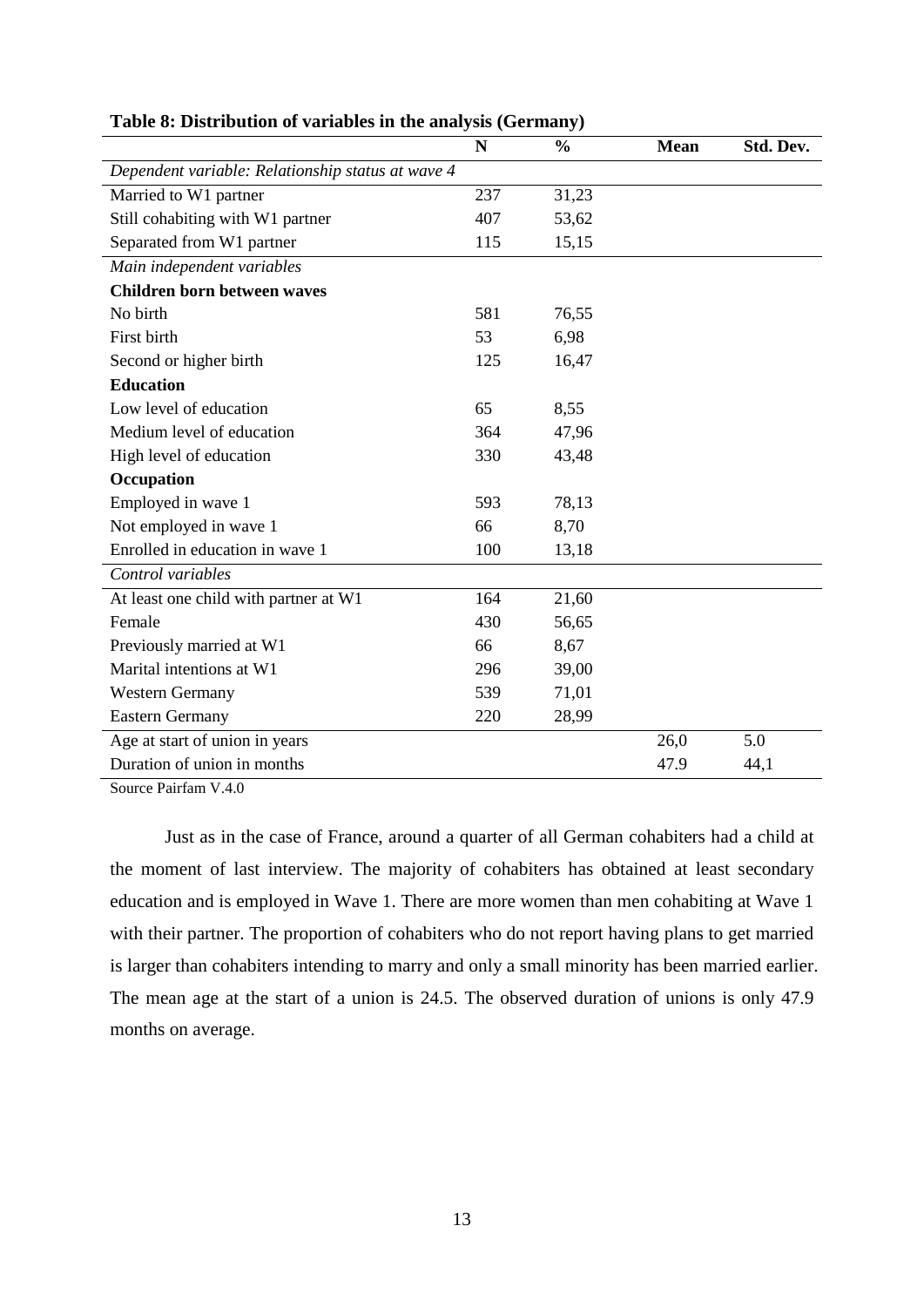|                                                   | N   | $\frac{0}{0}$ | <b>Mean</b> | Std. Dev. |
|---------------------------------------------------|-----|---------------|-------------|-----------|
| Dependent variable: Relationship status at wave 4 |     |               |             |           |
| Married to W1 partner                             | 237 | 31,23         |             |           |
| Still cohabiting with W1 partner                  | 407 | 53,62         |             |           |
| Separated from W1 partner                         | 115 | 15,15         |             |           |
| Main independent variables                        |     |               |             |           |
| <b>Children born between waves</b>                |     |               |             |           |
| No birth                                          | 581 | 76,55         |             |           |
| First birth                                       | 53  | 6,98          |             |           |
| Second or higher birth                            | 125 | 16,47         |             |           |
| <b>Education</b>                                  |     |               |             |           |
| Low level of education                            | 65  | 8,55          |             |           |
| Medium level of education                         | 364 | 47,96         |             |           |
| High level of education                           | 330 | 43,48         |             |           |
| Occupation                                        |     |               |             |           |
| Employed in wave 1                                | 593 | 78,13         |             |           |
| Not employed in wave 1                            | 66  | 8,70          |             |           |
| Enrolled in education in wave 1                   | 100 | 13,18         |             |           |
| Control variables                                 |     |               |             |           |
| At least one child with partner at W1             | 164 | 21,60         |             |           |
| Female                                            | 430 | 56,65         |             |           |
| Previously married at W1                          | 66  | 8,67          |             |           |
| Marital intentions at W1                          | 296 | 39,00         |             |           |
| <b>Western Germany</b>                            | 539 | 71,01         |             |           |
| <b>Eastern Germany</b>                            | 220 | 28,99         |             |           |
| Age at start of union in years                    |     |               | 26,0        | 5.0       |
| Duration of union in months                       |     |               | 47.9        | 44,1      |

# **Table 8: Distribution of variables in the analysis (Germany)**

Source Pairfam V.4.0

Just as in the case of France, around a quarter of all German cohabiters had a child at the moment of last interview. The majority of cohabiters has obtained at least secondary education and is employed in Wave 1. There are more women than men cohabiting at Wave 1 with their partner. The proportion of cohabiters who do not report having plans to get married is larger than cohabiters intending to marry and only a small minority has been married earlier. The mean age at the start of a union is 24.5. The observed duration of unions is only 47.9 months on average.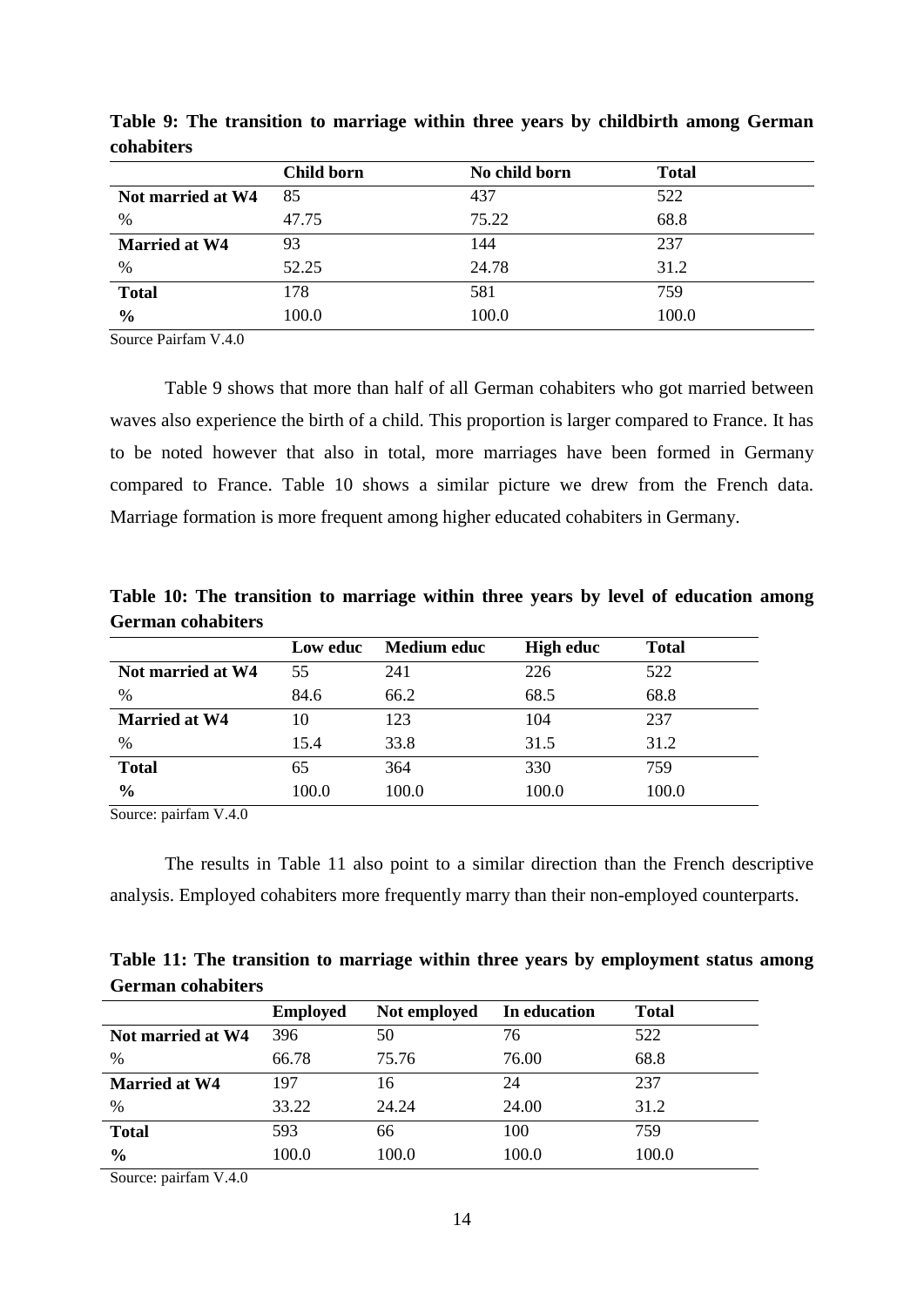|                      | Child born | No child born | <b>Total</b> |
|----------------------|------------|---------------|--------------|
| Not married at W4    | 85         | 437           | 522          |
| %                    | 47.75      | 75.22         | 68.8         |
| <b>Married at W4</b> | 93         | 144           | 237          |
| %                    | 52.25      | 24.78         | 31.2         |
| <b>Total</b>         | 178        | 581           | 759          |
| $\frac{6}{6}$        | 100.0      | 100.0         | 100.0        |

**Table 9: The transition to marriage within three years by childbirth among German cohabiters**

Source Pairfam V.4.0

Table 9 shows that more than half of all German cohabiters who got married between waves also experience the birth of a child. This proportion is larger compared to France. It has to be noted however that also in total, more marriages have been formed in Germany compared to France. Table 10 shows a similar picture we drew from the French data. Marriage formation is more frequent among higher educated cohabiters in Germany.

|                          | Table 10: The transition to marriage within three years by level of education among |  |  |  |  |
|--------------------------|-------------------------------------------------------------------------------------|--|--|--|--|
| <b>German cohabiters</b> |                                                                                     |  |  |  |  |

|                      | Low educ | <b>Medium educ</b> | <b>High educ</b> | <b>Total</b> |
|----------------------|----------|--------------------|------------------|--------------|
| Not married at W4    | 55       | 241                | 226              | 522          |
| $\frac{0}{0}$        | 84.6     | 66.2               | 68.5             | 68.8         |
| <b>Married at W4</b> | 10       | 123                | 104              | 237          |
| $\%$                 | 15.4     | 33.8               | 31.5             | 31.2         |
| <b>Total</b>         | 65       | 364                | 330              | 759          |
| $\frac{6}{6}$        | 100.0    | 100.0              | 100.0            | 100.0        |

Source: pairfam V.4.0

The results in Table 11 also point to a similar direction than the French descriptive analysis. Employed cohabiters more frequently marry than their non-employed counterparts.

| Table 11: The transition to marriage within three years by employment status among |  |  |  |  |
|------------------------------------------------------------------------------------|--|--|--|--|
| <b>German cohabiters</b>                                                           |  |  |  |  |

|                      | <b>Employed</b> | Not employed | In education | <b>Total</b> |
|----------------------|-----------------|--------------|--------------|--------------|
| Not married at W4    | 396             | 50           | 76           | 522          |
| %                    | 66.78           | 75.76        | 76.00        | 68.8         |
| <b>Married at W4</b> | 197             | 16           | 24           | 237          |
| %                    | 33.22           | 24.24        | 24.00        | 31.2         |
| <b>Total</b>         | 593             | 66           | 100          | 759          |
| $\frac{0}{0}$        | 100.0           | 100.0        | 100.0        | 100.0        |

Source: pairfam V.4.0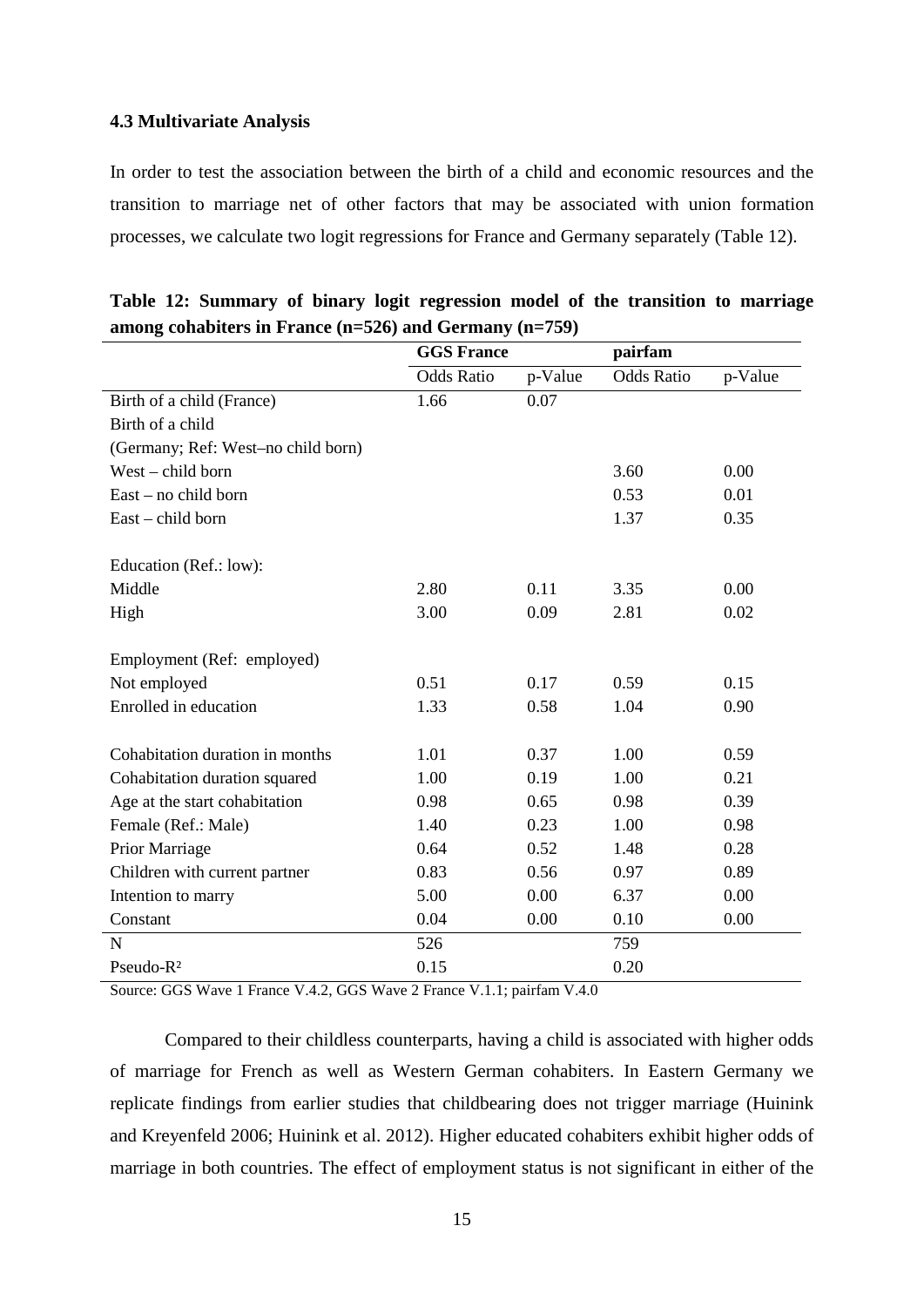#### **4.3 Multivariate Analysis**

In order to test the association between the birth of a child and economic resources and the transition to marriage net of other factors that may be associated with union formation processes, we calculate two logit regressions for France and Germany separately (Table 12).

|                                    | <b>GGS France</b> |         | pairfam           |         |
|------------------------------------|-------------------|---------|-------------------|---------|
|                                    | <b>Odds Ratio</b> | p-Value | <b>Odds Ratio</b> | p-Value |
| Birth of a child (France)          | 1.66              | 0.07    |                   |         |
| Birth of a child                   |                   |         |                   |         |
| (Germany; Ref: West-no child born) |                   |         |                   |         |
| West – child born                  |                   |         | 3.60              | 0.00    |
| East – no child born               |                   |         | 0.53              | 0.01    |
| East – child born                  |                   |         | 1.37              | 0.35    |
| Education (Ref.: low):             |                   |         |                   |         |
| Middle                             | 2.80              | 0.11    | 3.35              | 0.00    |
| High                               | 3.00              | 0.09    | 2.81              | 0.02    |
| Employment (Ref: employed)         |                   |         |                   |         |
| Not employed                       | 0.51              | 0.17    | 0.59              | 0.15    |
| Enrolled in education              | 1.33              | 0.58    | 1.04              | 0.90    |
| Cohabitation duration in months    | 1.01              | 0.37    | 1.00              | 0.59    |
| Cohabitation duration squared      | 1.00              | 0.19    | 1.00              | 0.21    |
| Age at the start cohabitation      | 0.98              | 0.65    | 0.98              | 0.39    |
| Female (Ref.: Male)                | 1.40              | 0.23    | 1.00              | 0.98    |
| Prior Marriage                     | 0.64              | 0.52    | 1.48              | 0.28    |
| Children with current partner      | 0.83              | 0.56    | 0.97              | 0.89    |
| Intention to marry                 | 5.00              | 0.00    | 6.37              | 0.00    |
| Constant                           | 0.04              | 0.00    | 0.10              | 0.00    |
| N                                  | 526               |         | 759               |         |
| Pseudo-R <sup>2</sup>              | 0.15              |         | 0.20              |         |

|  |  |  | Table 12: Summary of binary logit regression model of the transition to marriage |  |  |  |
|--|--|--|----------------------------------------------------------------------------------|--|--|--|
|  |  |  | among cohabiters in France $(n=526)$ and Germany $(n=759)$                       |  |  |  |

Source: GGS Wave 1 France V.4.2, GGS Wave 2 France V.1.1; pairfam V.4.0

Compared to their childless counterparts, having a child is associated with higher odds of marriage for French as well as Western German cohabiters. In Eastern Germany we replicate findings from earlier studies that childbearing does not trigger marriage (Huinink and Kreyenfeld 2006; Huinink et al. 2012). Higher educated cohabiters exhibit higher odds of marriage in both countries. The effect of employment status is not significant in either of the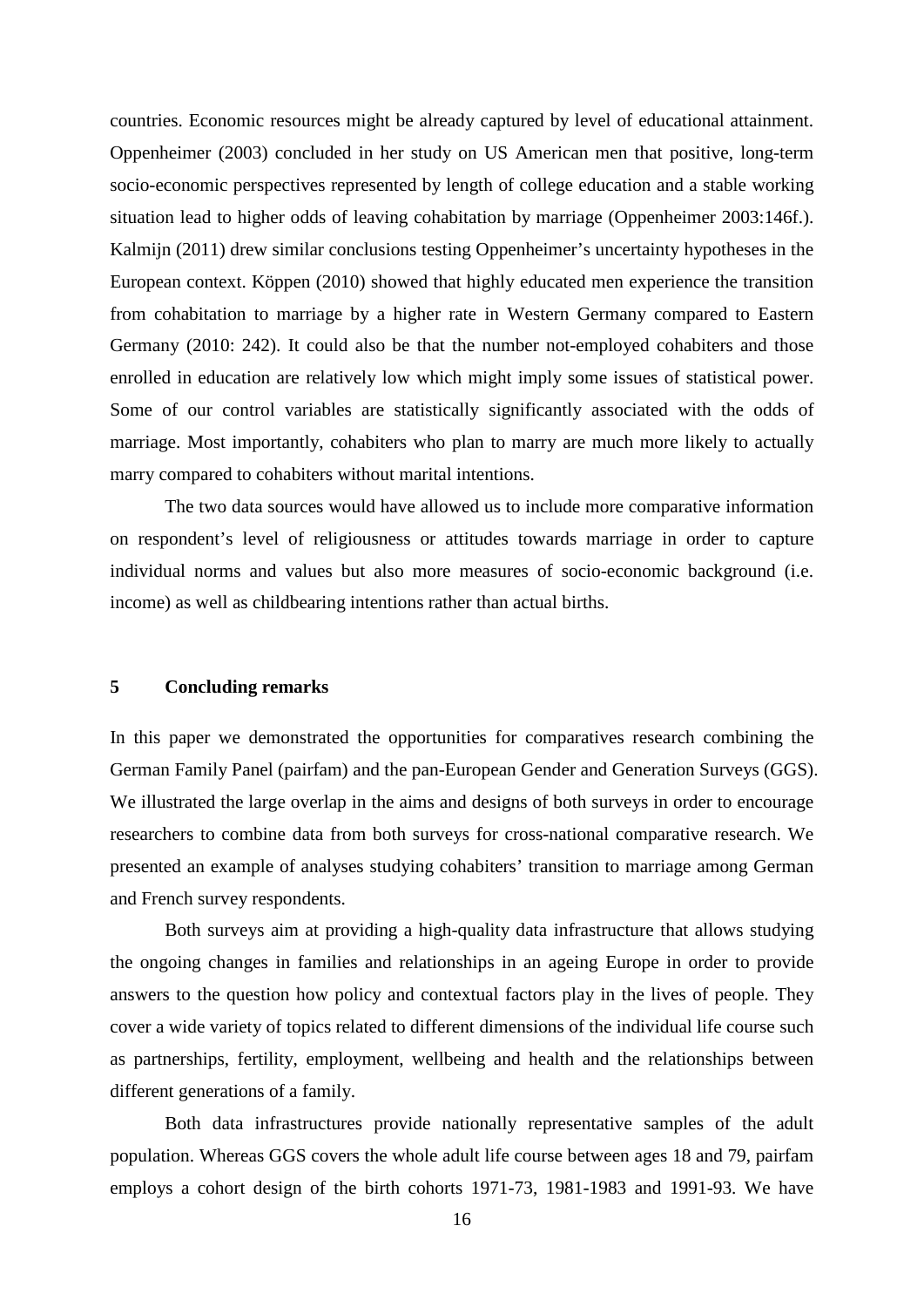countries. Economic resources might be already captured by level of educational attainment. Oppenheimer (2003) concluded in her study on US American men that positive, long-term socio-economic perspectives represented by length of college education and a stable working situation lead to higher odds of leaving cohabitation by marriage (Oppenheimer 2003:146f.). Kalmijn (2011) drew similar conclusions testing Oppenheimer's uncertainty hypotheses in the European context. Köppen (2010) showed that highly educated men experience the transition from cohabitation to marriage by a higher rate in Western Germany compared to Eastern Germany (2010: 242). It could also be that the number not-employed cohabiters and those enrolled in education are relatively low which might imply some issues of statistical power. Some of our control variables are statistically significantly associated with the odds of marriage. Most importantly, cohabiters who plan to marry are much more likely to actually marry compared to cohabiters without marital intentions.

The two data sources would have allowed us to include more comparative information on respondent's level of religiousness or attitudes towards marriage in order to capture individual norms and values but also more measures of socio-economic background (i.e. income) as well as childbearing intentions rather than actual births.

#### **5 Concluding remarks**

In this paper we demonstrated the opportunities for comparatives research combining the German Family Panel (pairfam) and the pan-European Gender and Generation Surveys (GGS). We illustrated the large overlap in the aims and designs of both surveys in order to encourage researchers to combine data from both surveys for cross-national comparative research. We presented an example of analyses studying cohabiters' transition to marriage among German and French survey respondents.

Both surveys aim at providing a high-quality data infrastructure that allows studying the ongoing changes in families and relationships in an ageing Europe in order to provide answers to the question how policy and contextual factors play in the lives of people. They cover a wide variety of topics related to different dimensions of the individual life course such as partnerships, fertility, employment, wellbeing and health and the relationships between different generations of a family.

Both data infrastructures provide nationally representative samples of the adult population. Whereas GGS covers the whole adult life course between ages 18 and 79, pairfam employs a cohort design of the birth cohorts 1971-73, 1981-1983 and 1991-93. We have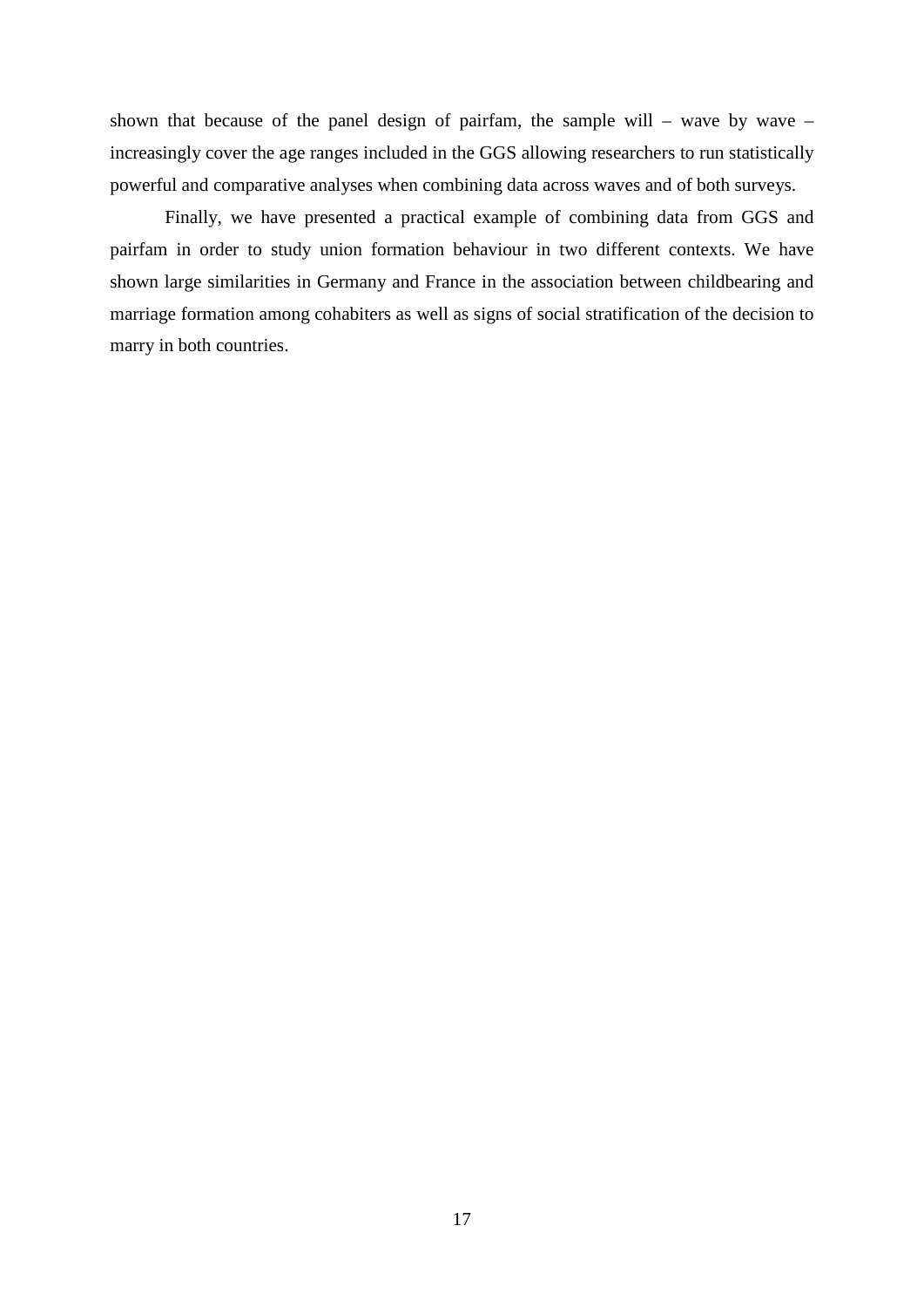shown that because of the panel design of pairfam, the sample will – wave by wave – increasingly cover the age ranges included in the GGS allowing researchers to run statistically powerful and comparative analyses when combining data across waves and of both surveys.

Finally, we have presented a practical example of combining data from GGS and pairfam in order to study union formation behaviour in two different contexts. We have shown large similarities in Germany and France in the association between childbearing and marriage formation among cohabiters as well as signs of social stratification of the decision to marry in both countries.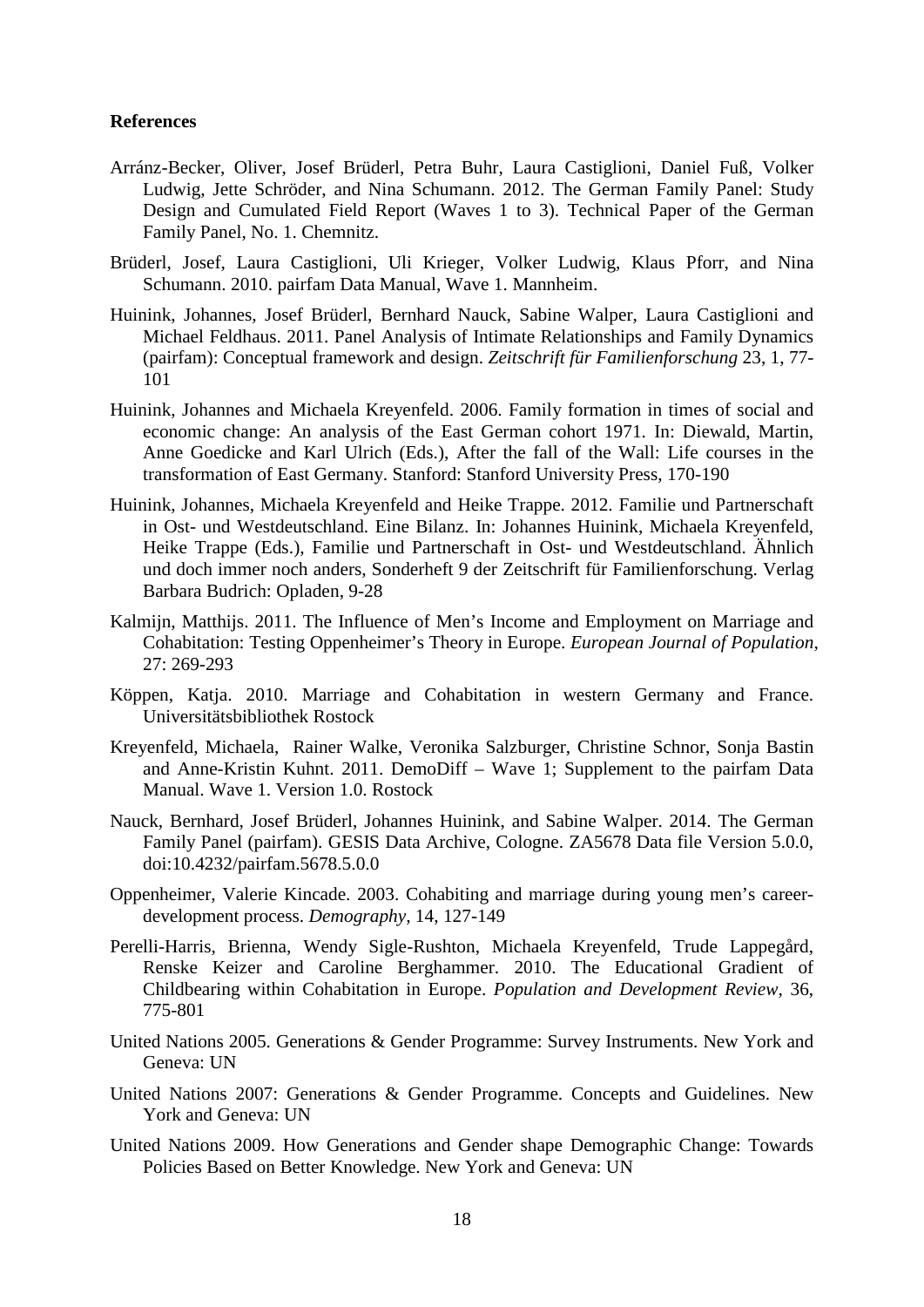#### **References**

- Arránz-Becker, Oliver, Josef Brüderl, Petra Buhr, Laura Castiglioni, Daniel Fuß, Volker Ludwig, Jette Schröder, and Nina Schumann. 2012. The German Family Panel: Study Design and Cumulated Field Report (Waves 1 to 3). Technical Paper of the German Family Panel, No. 1. Chemnitz.
- Brüderl, Josef, Laura Castiglioni, Uli Krieger, Volker Ludwig, Klaus Pforr, and Nina Schumann. 2010. pairfam Data Manual, Wave 1. Mannheim.
- Huinink, Johannes, Josef Brüderl, Bernhard Nauck, Sabine Walper, Laura Castiglioni and Michael Feldhaus. 2011. Panel Analysis of Intimate Relationships and Family Dynamics (pairfam): Conceptual framework and design. *Zeitschrift für Familienforschung* 23, 1, 77- 101
- Huinink, Johannes and Michaela Kreyenfeld. 2006. Family formation in times of social and economic change: An analysis of the East German cohort 1971. In: Diewald, Martin, Anne Goedicke and Karl Ulrich (Eds.), After the fall of the Wall: Life courses in the transformation of East Germany. Stanford: Stanford University Press, 170-190
- Huinink, Johannes, Michaela Kreyenfeld and Heike Trappe. 2012. Familie und Partnerschaft in Ost- und Westdeutschland. Eine Bilanz. In: Johannes Huinink, Michaela Kreyenfeld, Heike Trappe (Eds.), Familie und Partnerschaft in Ost- und Westdeutschland. Ähnlich und doch immer noch anders, Sonderheft 9 der Zeitschrift für Familienforschung. Verlag Barbara Budrich: Opladen, 9-28
- Kalmijn, Matthijs. 2011. The Influence of Men's Income and Employment on Marriage and Cohabitation: Testing Oppenheimer's Theory in Europe. *European Journal of Population*, 27: 269-293
- Köppen, Katja. 2010. Marriage and Cohabitation in western Germany and France. Universitätsbibliothek Rostock
- Kreyenfeld, Michaela, Rainer Walke, Veronika Salzburger, Christine Schnor, Sonja Bastin and Anne-Kristin Kuhnt. 2011. DemoDiff – Wave 1; Supplement to the pairfam Data Manual. Wave 1. Version 1.0. Rostock
- Nauck, Bernhard, Josef Brüderl, Johannes Huinink, and Sabine Walper. 2014. The German Family Panel (pairfam). GESIS Data Archive, Cologne. ZA5678 Data file Version 5.0.0, doi:10.4232/pairfam.5678.5.0.0
- Oppenheimer, Valerie Kincade. 2003. Cohabiting and marriage during young men's careerdevelopment process. *Demography,* 14, 127-149
- Perelli-Harris, Brienna, Wendy Sigle-Rushton, Michaela Kreyenfeld, Trude Lappegård, Renske Keizer and Caroline Berghammer. 2010. The Educational Gradient of Childbearing within Cohabitation in Europe. *Population and Development Review,* 36, 775-801
- United Nations 2005. Generations & Gender Programme: Survey Instruments. New York and Geneva: UN
- United Nations 2007: Generations & Gender Programme. Concepts and Guidelines. New York and Geneva: UN
- United Nations 2009. How Generations and Gender shape Demographic Change: Towards Policies Based on Better Knowledge. New York and Geneva: UN